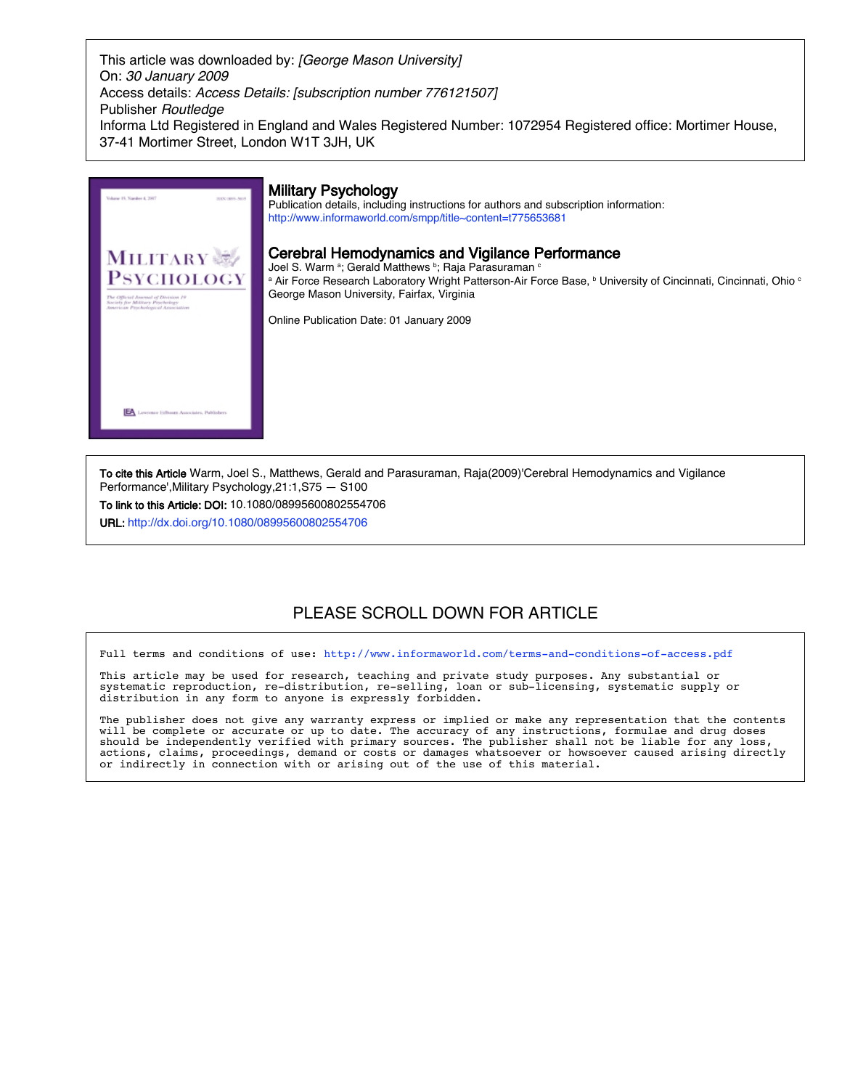This article was downloaded by: [George Mason University] On: 30 January 2009 Access details: Access Details: [subscription number 776121507] Publisher Routledge Informa Ltd Registered in England and Wales Registered Number: 1072954 Registered office: Mortimer House, 37-41 Mortimer Street, London W1T 3JH, UK



Joel S. Warm <sup>a</sup>; Gerald Matthews <sup>b</sup>; Raja Parasuraman <sup>c</sup> a Air Force Research Laboratory Wright Patterson-Air Force Base, b University of Cincinnati, Cincinnati, Ohio o

To cite this Article Warm, Joel S., Matthews, Gerald and Parasuraman, Raja(2009)'Cerebral Hemodynamics and Vigilance Performance',Military Psychology,21:1,S75 — S100

To link to this Article: DOI: 10.1080/08995600802554706

URL: http://dx.doi.org/10.1080/08995600802554706

## PLEASE SCROLL DOWN FOR ARTICLE

Full terms and conditions of use: http://www.informaworld.com/terms-and-conditions-of-access.pdf

This article may be used for research, teaching and private study purposes. Any substantial or systematic reproduction, re-distribution, re-selling, loan or sub-licensing, systematic supply or distribution in any form to anyone is expressly forbidden.

The publisher does not give any warranty express or implied or make any representation that the contents will be complete or accurate or up to date. The accuracy of any instructions, formulae and drug doses should be independently verified with primary sources. The publisher shall not be liable for any loss, actions, claims, proceedings, demand or costs or damages whatsoever or howsoever caused arising directly or indirectly in connection with or arising out of the use of this material.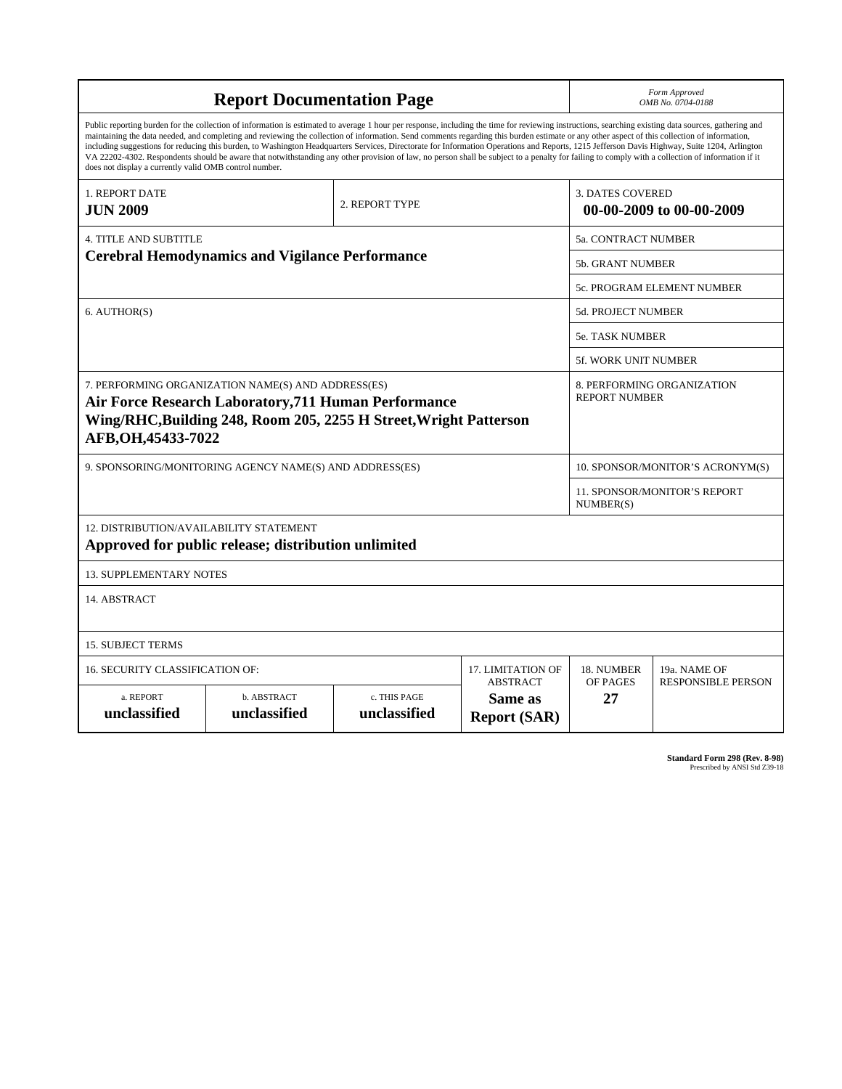| <b>Report Documentation Page</b>                                                                                                                                                                                                                                                                                                                                                                                                                                                                                                                                                                                                                                                                                                                                                                                                                                   |                             |                              |                                                   | Form Approved<br>OMB No. 0704-0188                  |                           |
|--------------------------------------------------------------------------------------------------------------------------------------------------------------------------------------------------------------------------------------------------------------------------------------------------------------------------------------------------------------------------------------------------------------------------------------------------------------------------------------------------------------------------------------------------------------------------------------------------------------------------------------------------------------------------------------------------------------------------------------------------------------------------------------------------------------------------------------------------------------------|-----------------------------|------------------------------|---------------------------------------------------|-----------------------------------------------------|---------------------------|
| Public reporting burden for the collection of information is estimated to average 1 hour per response, including the time for reviewing instructions, searching existing data sources, gathering and<br>maintaining the data needed, and completing and reviewing the collection of information. Send comments regarding this burden estimate or any other aspect of this collection of information,<br>including suggestions for reducing this burden, to Washington Headquarters Services, Directorate for Information Operations and Reports, 1215 Jefferson Davis Highway, Suite 1204, Arlington<br>VA 22202-4302. Respondents should be aware that notwithstanding any other provision of law, no person shall be subject to a penalty for failing to comply with a collection of information if it<br>does not display a currently valid OMB control number. |                             |                              |                                                   |                                                     |                           |
| <b>1. REPORT DATE</b><br><b>JUN 2009</b>                                                                                                                                                                                                                                                                                                                                                                                                                                                                                                                                                                                                                                                                                                                                                                                                                           | 2. REPORT TYPE              |                              |                                                   | <b>3. DATES COVERED</b><br>00-00-2009 to 00-00-2009 |                           |
| <b>4. TITLE AND SUBTITLE</b><br><b>Cerebral Hemodynamics and Vigilance Performance</b>                                                                                                                                                                                                                                                                                                                                                                                                                                                                                                                                                                                                                                                                                                                                                                             |                             |                              |                                                   | 5a. CONTRACT NUMBER                                 |                           |
|                                                                                                                                                                                                                                                                                                                                                                                                                                                                                                                                                                                                                                                                                                                                                                                                                                                                    |                             |                              |                                                   | <b>5b. GRANT NUMBER</b>                             |                           |
|                                                                                                                                                                                                                                                                                                                                                                                                                                                                                                                                                                                                                                                                                                                                                                                                                                                                    |                             |                              |                                                   | <b>5c. PROGRAM ELEMENT NUMBER</b>                   |                           |
| 6. AUTHOR(S)                                                                                                                                                                                                                                                                                                                                                                                                                                                                                                                                                                                                                                                                                                                                                                                                                                                       |                             |                              |                                                   | <b>5d. PROJECT NUMBER</b>                           |                           |
|                                                                                                                                                                                                                                                                                                                                                                                                                                                                                                                                                                                                                                                                                                                                                                                                                                                                    |                             |                              |                                                   | <b>5e. TASK NUMBER</b>                              |                           |
|                                                                                                                                                                                                                                                                                                                                                                                                                                                                                                                                                                                                                                                                                                                                                                                                                                                                    |                             |                              |                                                   | <b>5f. WORK UNIT NUMBER</b>                         |                           |
| 7. PERFORMING ORGANIZATION NAME(S) AND ADDRESS(ES)<br>Air Force Research Laboratory, 711 Human Performance<br>Wing/RHC, Building 248, Room 205, 2255 H Street, Wright Patterson<br>AFB, OH, 45433-7022                                                                                                                                                                                                                                                                                                                                                                                                                                                                                                                                                                                                                                                             |                             |                              |                                                   | 8. PERFORMING ORGANIZATION<br><b>REPORT NUMBER</b>  |                           |
| 9. SPONSORING/MONITORING AGENCY NAME(S) AND ADDRESS(ES)                                                                                                                                                                                                                                                                                                                                                                                                                                                                                                                                                                                                                                                                                                                                                                                                            |                             |                              |                                                   | 10. SPONSOR/MONITOR'S ACRONYM(S)                    |                           |
|                                                                                                                                                                                                                                                                                                                                                                                                                                                                                                                                                                                                                                                                                                                                                                                                                                                                    |                             |                              |                                                   | 11. SPONSOR/MONITOR'S REPORT<br>NUMBER(S)           |                           |
| <b>12. DISTRIBUTION/AVAILABILITY STATEMENT</b><br>Approved for public release; distribution unlimited                                                                                                                                                                                                                                                                                                                                                                                                                                                                                                                                                                                                                                                                                                                                                              |                             |                              |                                                   |                                                     |                           |
| <b>13. SUPPLEMENTARY NOTES</b>                                                                                                                                                                                                                                                                                                                                                                                                                                                                                                                                                                                                                                                                                                                                                                                                                                     |                             |                              |                                                   |                                                     |                           |
| 14. ABSTRACT                                                                                                                                                                                                                                                                                                                                                                                                                                                                                                                                                                                                                                                                                                                                                                                                                                                       |                             |                              |                                                   |                                                     |                           |
| <b>15. SUBJECT TERMS</b>                                                                                                                                                                                                                                                                                                                                                                                                                                                                                                                                                                                                                                                                                                                                                                                                                                           |                             |                              |                                                   |                                                     |                           |
| 16. SECURITY CLASSIFICATION OF:<br>17. LIMITATION OF                                                                                                                                                                                                                                                                                                                                                                                                                                                                                                                                                                                                                                                                                                                                                                                                               |                             |                              |                                                   | 18. NUMBER                                          | 19a. NAME OF              |
| a. REPORT<br>unclassified                                                                                                                                                                                                                                                                                                                                                                                                                                                                                                                                                                                                                                                                                                                                                                                                                                          | b. ABSTRACT<br>unclassified | c. THIS PAGE<br>unclassified | <b>ABSTRACT</b><br>Same as<br><b>Report (SAR)</b> | OF PAGES<br>27                                      | <b>RESPONSIBLE PERSON</b> |

**Standard Form 298 (Rev. 8-98)**<br>Prescribed by ANSI Std Z39-18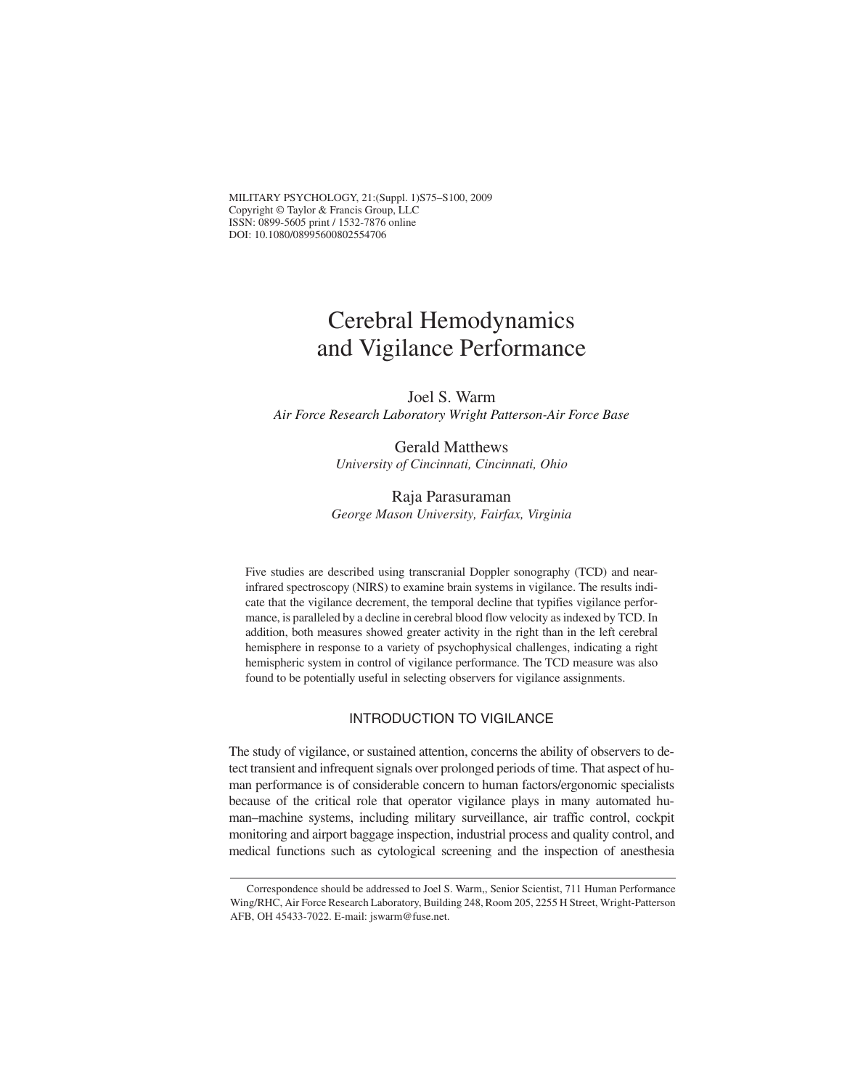MILITARY PSYCHOLOGY, 21:(Suppl. 1)S75–S100, 2009 Copyright © Taylor & Francis Group, LLC ISSN: 0899-5605 print / 1532-7876 online DOI: 10.1080/08995600802554706

# Cerebral Hemodynamics and Vigilance Performance

Joel S. Warm *Air Force Research Laboratory Wright Patterson-Air Force Base*

> Gerald Matthews *University of Cincinnati, Cincinnati, Ohio*

Raja Parasuraman *George Mason University, Fairfax, Virginia*

Five studies are described using transcranial Doppler sonography (TCD) and nearinfrared spectroscopy (NIRS) to examine brain systems in vigilance. The results indicate that the vigilance decrement, the temporal decline that typifies vigilance performance, is paralleled by a decline in cerebral blood flow velocity asindexed by TCD. In addition, both measures showed greater activity in the right than in the left cerebral hemisphere in response to a variety of psychophysical challenges, indicating a right hemispheric system in control of vigilance performance. The TCD measure was also found to be potentially useful in selecting observers for vigilance assignments.

#### INTRODUCTION TO VIGILANCE

The study of vigilance, or sustained attention, concerns the ability of observers to detect transient and infrequent signals over prolonged periods of time. That aspect of human performance is of considerable concern to human factors/ergonomic specialists because of the critical role that operator vigilance plays in many automated human–machine systems, including military surveillance, air traffic control, cockpit monitoring and airport baggage inspection, industrial process and quality control, and medical functions such as cytological screening and the inspection of anesthesia

Correspondence should be addressed to Joel S. Warm,, Senior Scientist, 711 Human Performance Wing/RHC, Air Force Research Laboratory, Building 248, Room 205, 2255 H Street, Wright-Patterson AFB, OH 45433-7022. E-mail: jswarm@fuse.net.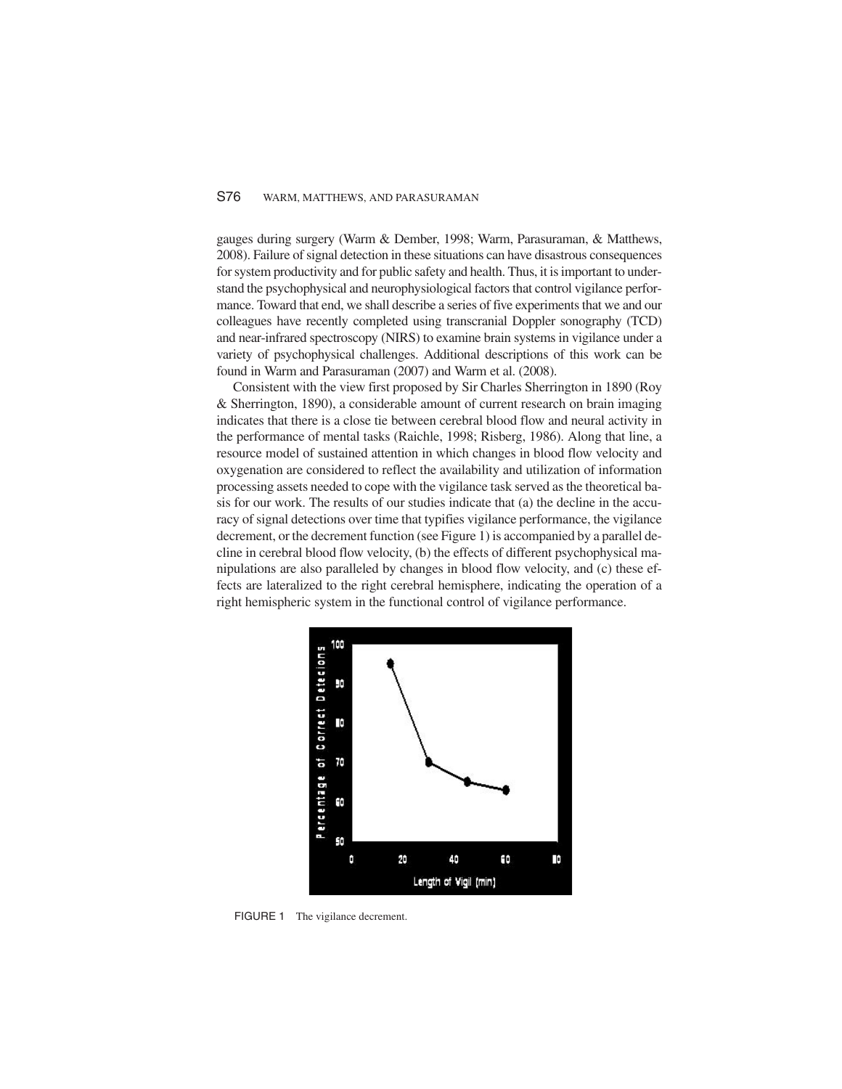#### S76 WARM, MATTHEWS, AND PARASURAMAN

gauges during surgery (Warm & Dember, 1998; Warm, Parasuraman, & Matthews, 2008). Failure of signal detection in these situations can have disastrous consequences forsystem productivity and for public safety and health. Thus, it isimportant to understand the psychophysical and neurophysiological factors that control vigilance performance. Toward that end, we shall describe a series of five experiments that we and our colleagues have recently completed using transcranial Doppler sonography (TCD) and near-infrared spectroscopy (NIRS) to examine brain systems in vigilance under a variety of psychophysical challenges. Additional descriptions of this work can be found in Warm and Parasuraman (2007) and Warm et al. (2008).

Consistent with the view first proposed by Sir Charles Sherrington in 1890 (Roy & Sherrington, 1890), a considerable amount of current research on brain imaging indicates that there is a close tie between cerebral blood flow and neural activity in the performance of mental tasks (Raichle, 1998; Risberg, 1986). Along that line, a resource model of sustained attention in which changes in blood flow velocity and oxygenation are considered to reflect the availability and utilization of information processing assets needed to cope with the vigilance task served asthe theoretical basis for our work. The results of our studies indicate that (a) the decline in the accuracy of signal detections over time that typifies vigilance performance, the vigilance decrement, or the decrement function (see Figure 1) is accompanied by a parallel decline in cerebral blood flow velocity, (b) the effects of different psychophysical manipulations are also paralleled by changes in blood flow velocity, and (c) these effects are lateralized to the right cerebral hemisphere, indicating the operation of a right hemispheric system in the functional control of vigilance performance.



FIGURE 1 The vigilance decrement.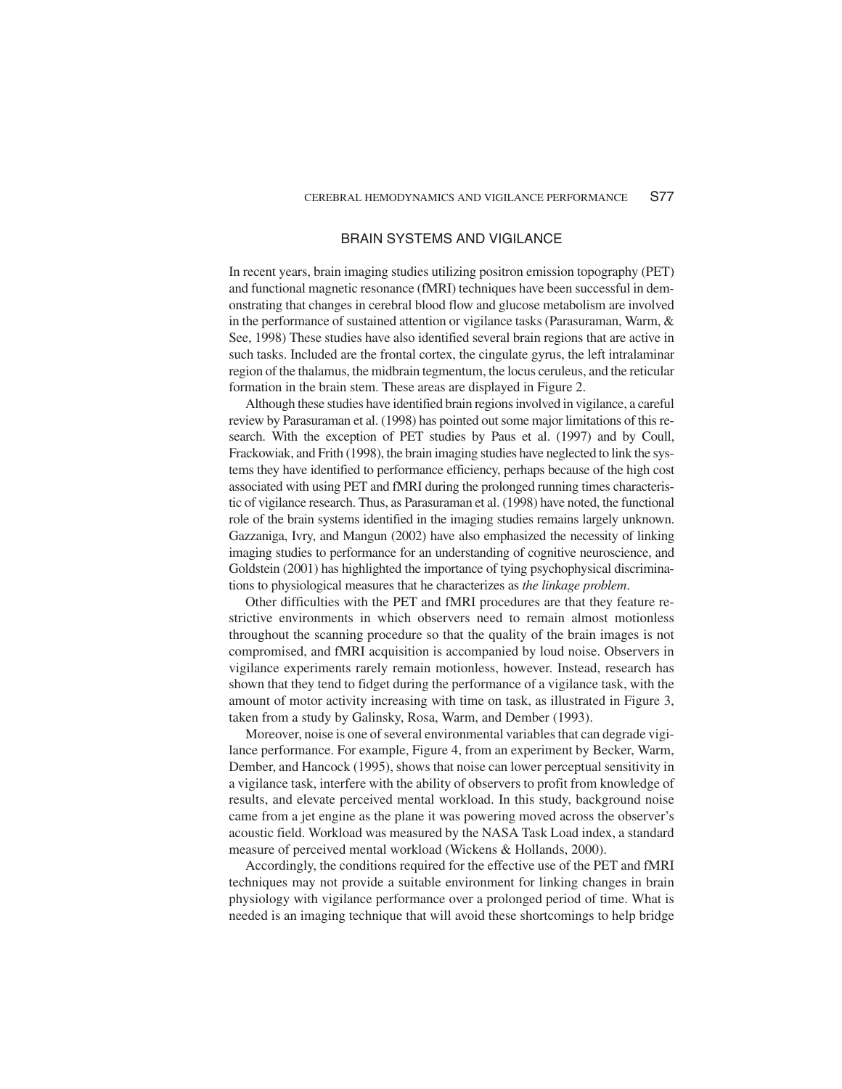#### BRAIN SYSTEMS AND VIGILANCE

In recent years, brain imaging studies utilizing positron emission topography (PET) and functional magnetic resonance (fMRI) techniques have been successful in demonstrating that changes in cerebral blood flow and glucose metabolism are involved in the performance of sustained attention or vigilance tasks (Parasuraman, Warm, & See, 1998) These studies have also identified several brain regions that are active in such tasks. Included are the frontal cortex, the cingulate gyrus, the left intralaminar region of the thalamus, the midbrain tegmentum, the locus ceruleus, and the reticular formation in the brain stem. These areas are displayed in Figure 2.

Although these studies have identified brain regionsinvolved in vigilance, a careful review by Parasuraman et al. (1998) has pointed outsome major limitations of thisresearch. With the exception of PET studies by Paus et al. (1997) and by Coull, Frackowiak, and Frith (1998), the brain imaging studies have neglected to link the systems they have identified to performance efficiency, perhaps because of the high cost associated with using PET and fMRI during the prolonged running times characteristic of vigilance research. Thus, as Parasuraman et al. (1998) have noted, the functional role of the brain systems identified in the imaging studies remains largely unknown. Gazzaniga, Ivry, and Mangun (2002) have also emphasized the necessity of linking imaging studies to performance for an understanding of cognitive neuroscience, and Goldstein (2001) has highlighted the importance of tying psychophysical discriminations to physiological measures that he characterizes as *the linkage problem*.

Other difficulties with the PET and fMRI procedures are that they feature restrictive environments in which observers need to remain almost motionless throughout the scanning procedure so that the quality of the brain images is not compromised, and fMRI acquisition is accompanied by loud noise. Observers in vigilance experiments rarely remain motionless, however. Instead, research has shown that they tend to fidget during the performance of a vigilance task, with the amount of motor activity increasing with time on task, as illustrated in Figure 3, taken from a study by Galinsky, Rosa, Warm, and Dember (1993).

Moreover, noise is one of several environmental variables that can degrade vigilance performance. For example, Figure 4, from an experiment by Becker, Warm, Dember, and Hancock (1995), shows that noise can lower perceptual sensitivity in a vigilance task, interfere with the ability of observers to profit from knowledge of results, and elevate perceived mental workload. In this study, background noise came from a jet engine as the plane it was powering moved across the observer's acoustic field. Workload was measured by the NASA Task Load index, a standard measure of perceived mental workload (Wickens & Hollands, 2000).

Accordingly, the conditions required for the effective use of the PET and fMRI techniques may not provide a suitable environment for linking changes in brain physiology with vigilance performance over a prolonged period of time. What is needed is an imaging technique that will avoid these shortcomings to help bridge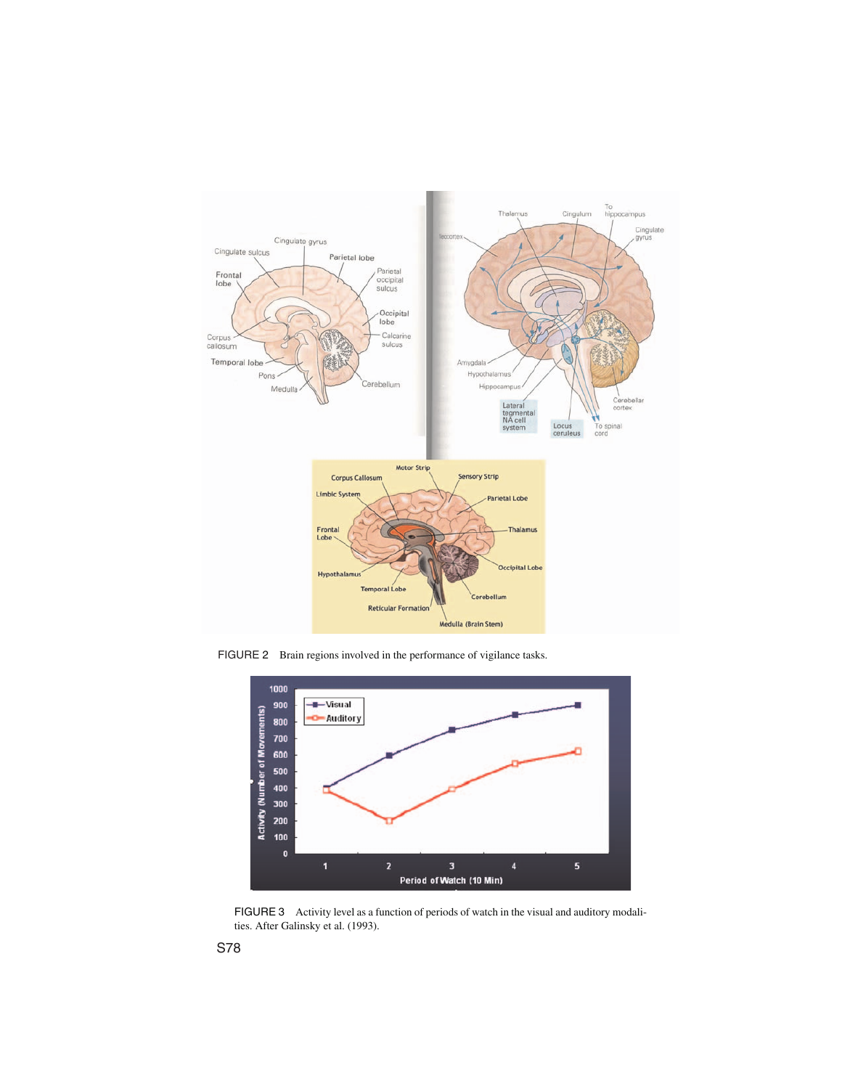

FIGURE 2 Brain regions involved in the performance of vigilance tasks.



FIGURE 3 Activity level as a function of periods of watch in the visual and auditory modalities. After Galinsky et al. (1993).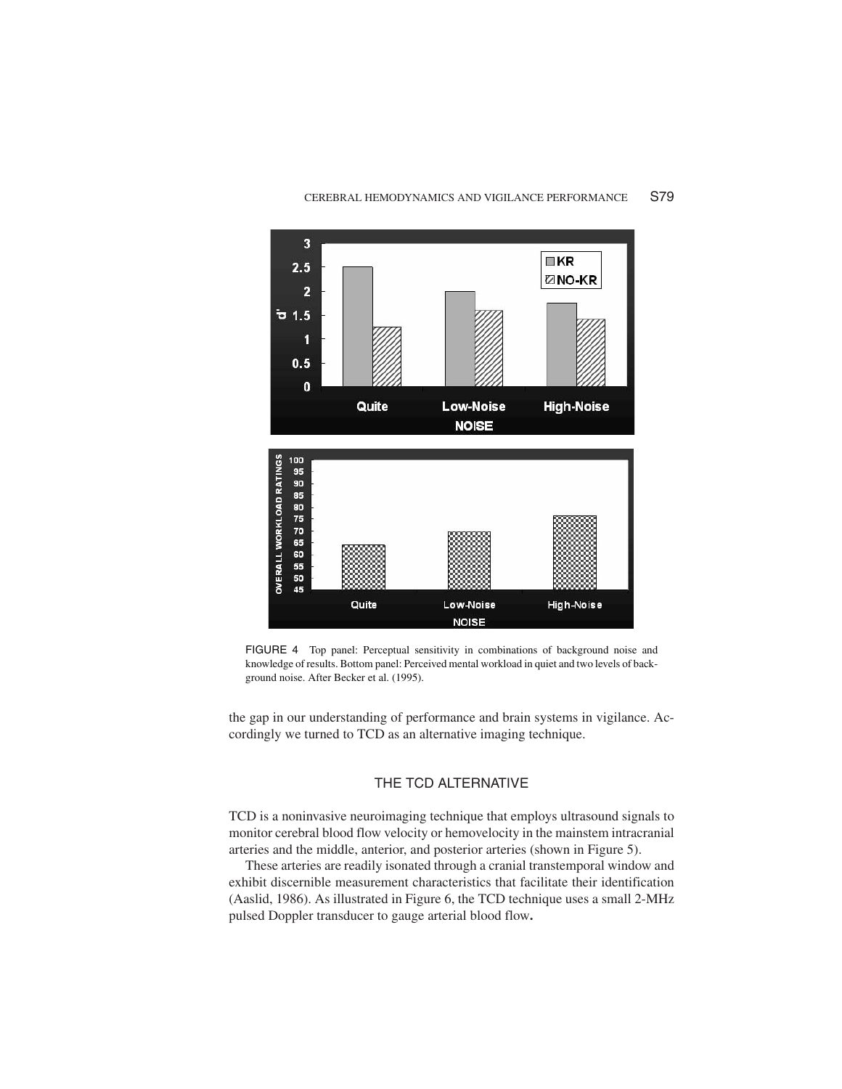



FIGURE 4 Top panel: Perceptual sensitivity in combinations of background noise and knowledge of results. Bottom panel: Perceived mental workload in quiet and two levels of background noise. After Becker et al. (1995).

the gap in our understanding of performance and brain systems in vigilance. Accordingly we turned to TCD as an alternative imaging technique.

#### THE TCD ALTERNATIVE

TCD is a noninvasive neuroimaging technique that employs ultrasound signals to monitor cerebral blood flow velocity or hemovelocity in the mainstem intracranial arteries and the middle, anterior, and posterior arteries (shown in Figure 5).

These arteries are readily isonated through a cranial transtemporal window and exhibit discernible measurement characteristics that facilitate their identification (Aaslid, 1986). As illustrated in Figure 6, the TCD technique uses a small 2-MHz pulsed Doppler transducer to gauge arterial blood flow**.**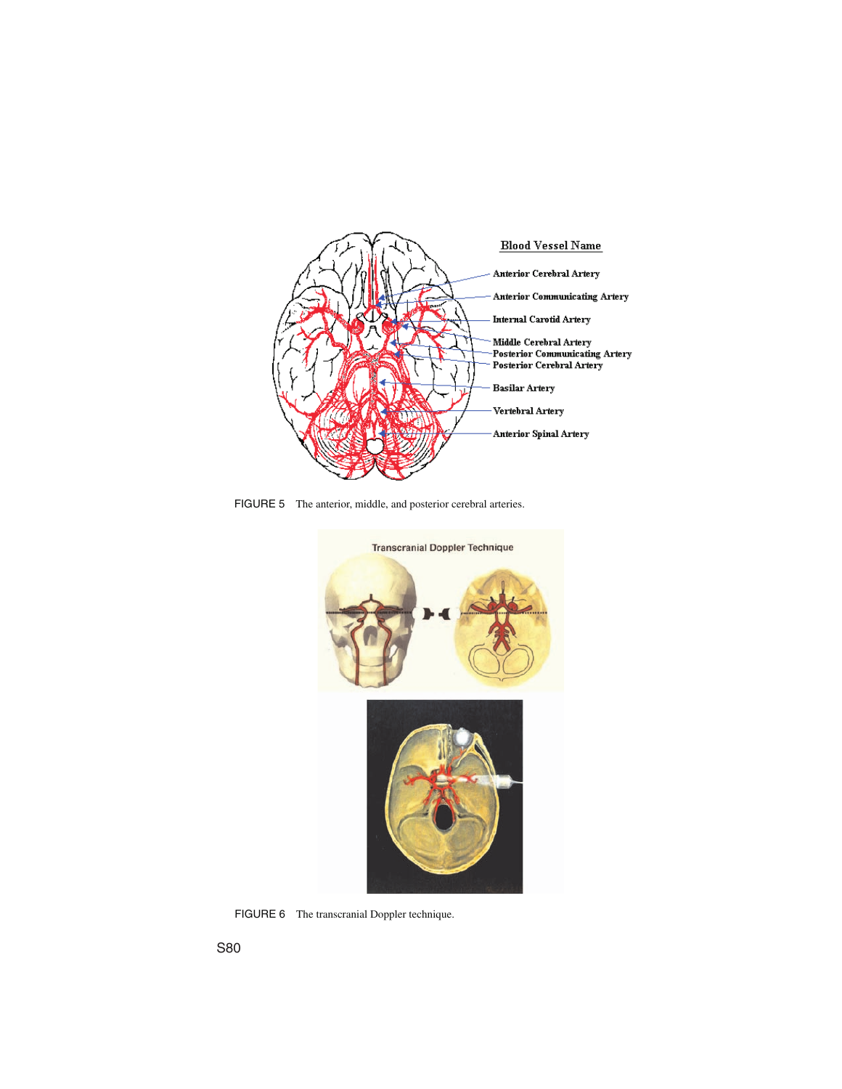

FIGURE 5 The anterior, middle, and posterior cerebral arteries.



FIGURE 6 The transcranial Doppler technique.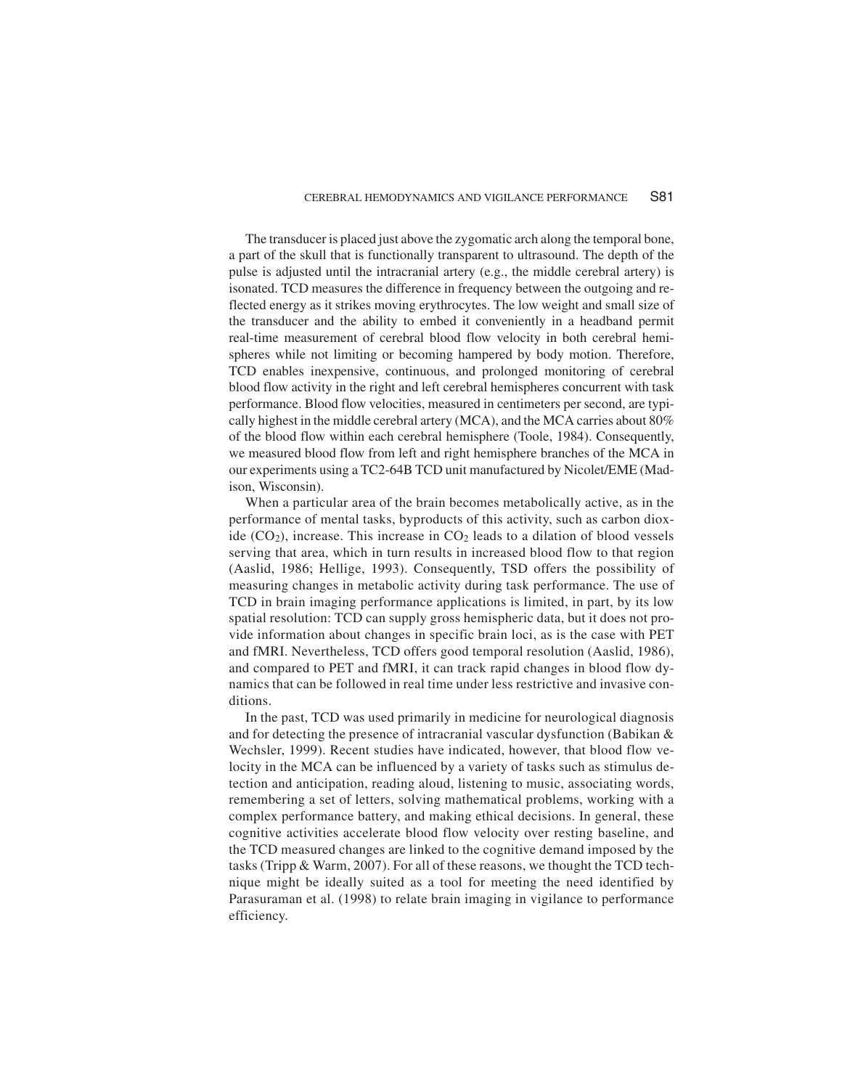The transducer is placed just above the zygomatic arch along the temporal bone, a part of the skull that is functionally transparent to ultrasound. The depth of the pulse is adjusted until the intracranial artery (e.g., the middle cerebral artery) is isonated. TCD measures the difference in frequency between the outgoing and reflected energy as it strikes moving erythrocytes. The low weight and small size of the transducer and the ability to embed it conveniently in a headband permit real-time measurement of cerebral blood flow velocity in both cerebral hemispheres while not limiting or becoming hampered by body motion. Therefore, TCD enables inexpensive, continuous, and prolonged monitoring of cerebral blood flow activity in the right and left cerebral hemispheres concurrent with task performance. Blood flow velocities, measured in centimeters per second, are typically highest in the middle cerebral artery (MCA), and the MCA carries about 80% of the blood flow within each cerebral hemisphere (Toole, 1984). Consequently, we measured blood flow from left and right hemisphere branches of the MCA in our experiments using a TC2-64B TCD unit manufactured by Nicolet/EME (Madison, Wisconsin).

When a particular area of the brain becomes metabolically active, as in the performance of mental tasks, byproducts of this activity, such as carbon dioxide  $(CO<sub>2</sub>)$ , increase. This increase in  $CO<sub>2</sub>$  leads to a dilation of blood vessels serving that area, which in turn results in increased blood flow to that region (Aaslid, 1986; Hellige, 1993). Consequently, TSD offers the possibility of measuring changes in metabolic activity during task performance. The use of TCD in brain imaging performance applications is limited, in part, by its low spatial resolution: TCD can supply gross hemispheric data, but it does not provide information about changes in specific brain loci, as is the case with PET and fMRI. Nevertheless, TCD offers good temporal resolution (Aaslid, 1986), and compared to PET and fMRI, it can track rapid changes in blood flow dynamics that can be followed in real time under less restrictive and invasive conditions.

In the past, TCD was used primarily in medicine for neurological diagnosis and for detecting the presence of intracranial vascular dysfunction (Babikan & Wechsler, 1999). Recent studies have indicated, however, that blood flow velocity in the MCA can be influenced by a variety of tasks such as stimulus detection and anticipation, reading aloud, listening to music, associating words, remembering a set of letters, solving mathematical problems, working with a complex performance battery, and making ethical decisions. In general, these cognitive activities accelerate blood flow velocity over resting baseline, and the TCD measured changes are linked to the cognitive demand imposed by the tasks (Tripp & Warm, 2007). For all of these reasons, we thought the TCD technique might be ideally suited as a tool for meeting the need identified by Parasuraman et al. (1998) to relate brain imaging in vigilance to performance efficiency.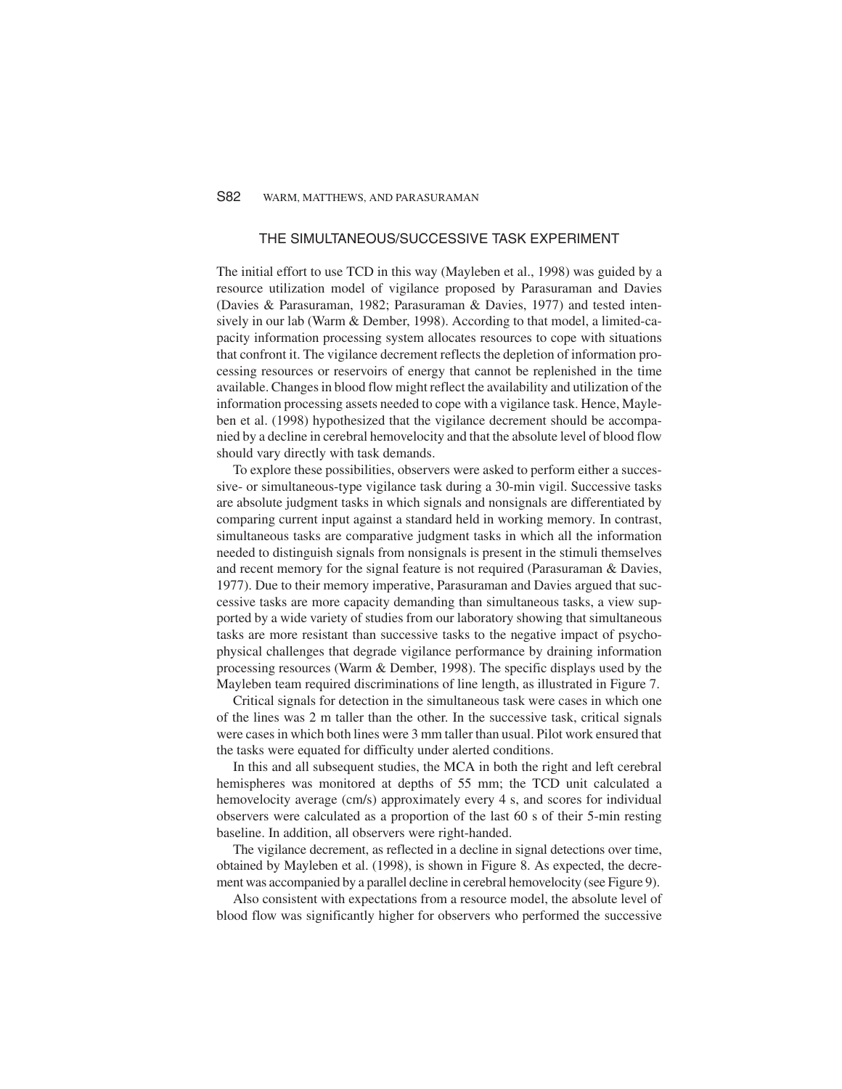#### S82 WARM, MATTHEWS, AND PARASURAMAN

#### THE SIMULTANEOUS/SUCCESSIVE TASK EXPERIMENT

The initial effort to use TCD in this way (Mayleben et al., 1998) was guided by a resource utilization model of vigilance proposed by Parasuraman and Davies (Davies & Parasuraman, 1982; Parasuraman & Davies, 1977) and tested intensively in our lab (Warm & Dember, 1998). According to that model, a limited-capacity information processing system allocates resources to cope with situations that confront it. The vigilance decrement reflects the depletion of information processing resources or reservoirs of energy that cannot be replenished in the time available. Changes in blood flow might reflect the availability and utilization of the information processing assets needed to cope with a vigilance task. Hence, Mayleben et al. (1998) hypothesized that the vigilance decrement should be accompanied by a decline in cerebral hemovelocity and that the absolute level of blood flow should vary directly with task demands.

To explore these possibilities, observers were asked to perform either a successive- or simultaneous-type vigilance task during a 30-min vigil. Successive tasks are absolute judgment tasks in which signals and nonsignals are differentiated by comparing current input against a standard held in working memory*.* In contrast, simultaneous tasks are comparative judgment tasks in which all the information needed to distinguish signals from nonsignals is present in the stimuli themselves and recent memory for the signal feature is not required (Parasuraman & Davies, 1977). Due to their memory imperative, Parasuraman and Davies argued that successive tasks are more capacity demanding than simultaneous tasks, a view supported by a wide variety of studies from our laboratory showing that simultaneous tasks are more resistant than successive tasks to the negative impact of psychophysical challenges that degrade vigilance performance by draining information processing resources (Warm & Dember, 1998). The specific displays used by the Mayleben team required discriminations of line length, as illustrated in Figure 7.

Critical signals for detection in the simultaneous task were cases in which one of the lines was 2 m taller than the other. In the successive task, critical signals were casesin which both lines were 3 mm taller than usual. Pilot work ensured that the tasks were equated for difficulty under alerted conditions.

In this and all subsequent studies, the MCA in both the right and left cerebral hemispheres was monitored at depths of 55 mm; the TCD unit calculated a hemovelocity average (cm/s) approximately every 4 s, and scores for individual observers were calculated as a proportion of the last 60 s of their 5-min resting baseline. In addition, all observers were right-handed.

The vigilance decrement, as reflected in a decline in signal detections over time, obtained by Mayleben et al. (1998), is shown in Figure 8. As expected, the decrement was accompanied by a parallel decline in cerebral hemovelocity (see Figure 9).

Also consistent with expectations from a resource model, the absolute level of blood flow was significantly higher for observers who performed the successive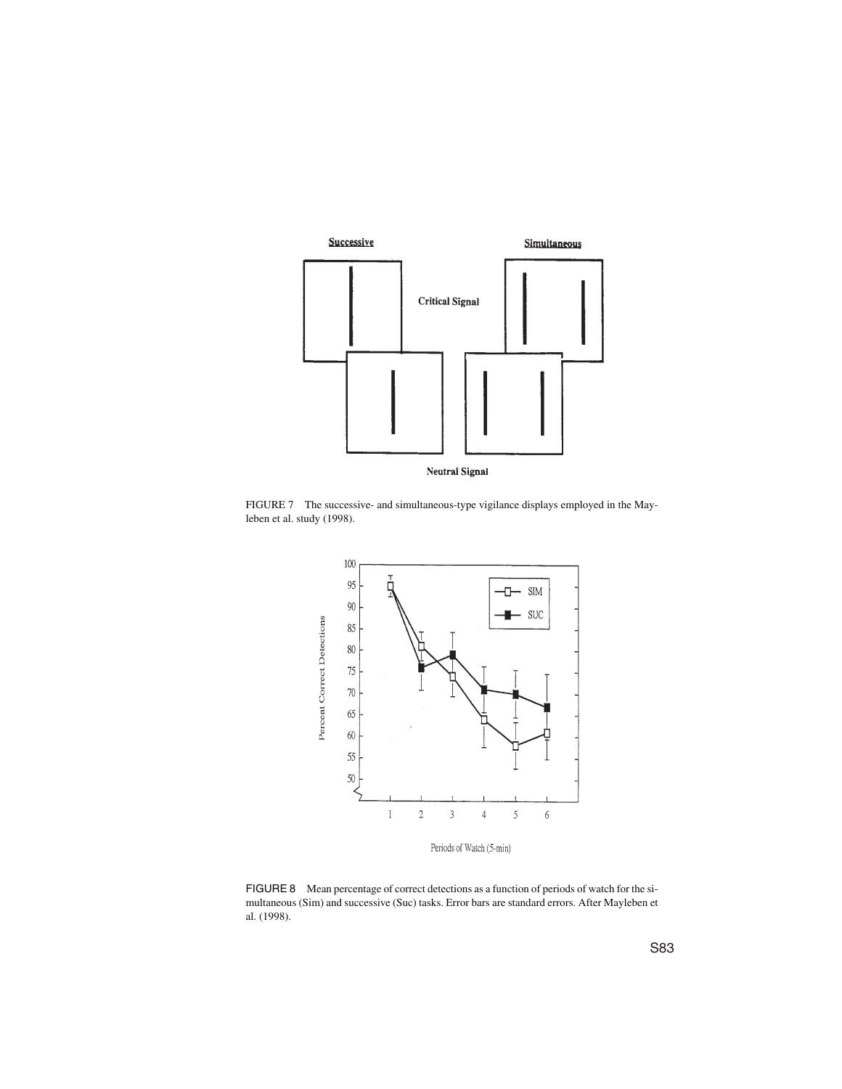

FIGURE 7 The successive- and simultaneous-type vigilance displays employed in the Mayleben et al. study (1998).



FIGURE 8 Mean percentage of correct detections as a function of periods of watch for the simultaneous (Sim) and successive (Suc) tasks. Error bars are standard errors. After Mayleben et al. (1998).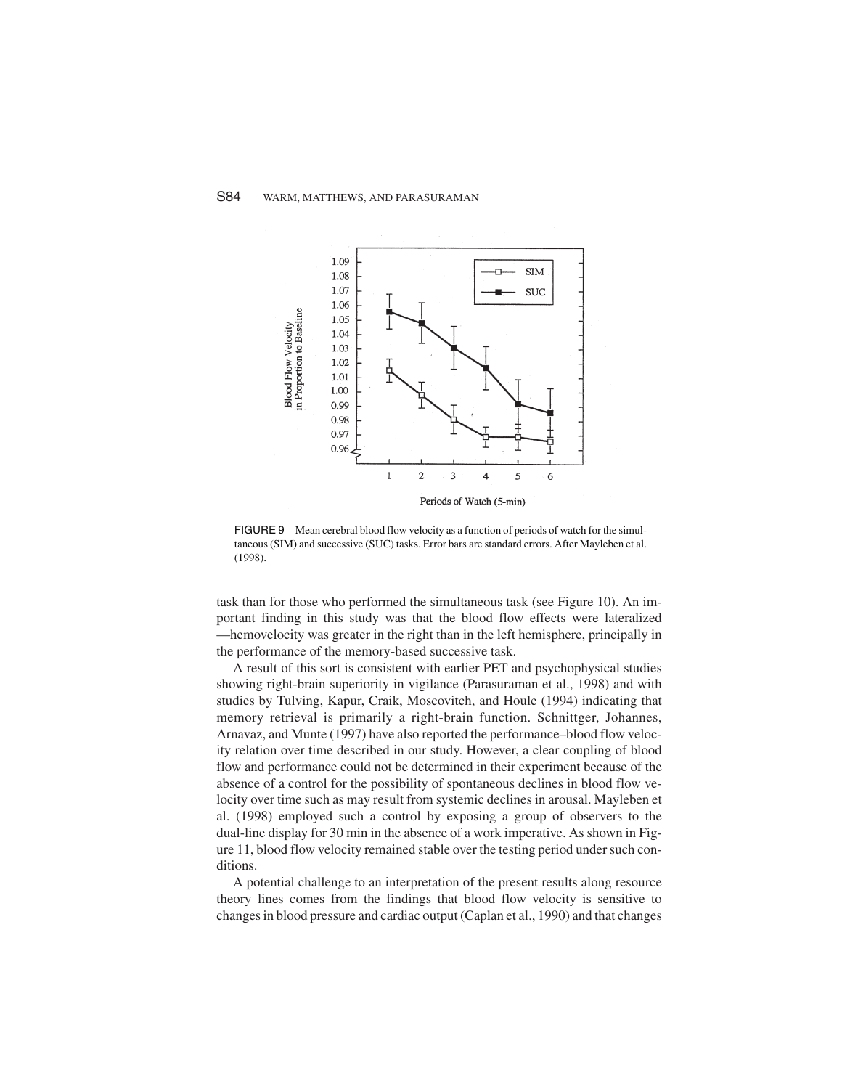

FIGURE 9 Mean cerebral blood flow velocity as a function of periods of watch for the simultaneous (SIM) and successive (SUC) tasks. Error bars are standard errors. After Mayleben et al. (1998).

task than for those who performed the simultaneous task (see Figure 10). An important finding in this study was that the blood flow effects were lateralized —hemovelocity was greater in the right than in the left hemisphere, principally in the performance of the memory-based successive task.

A result of this sort is consistent with earlier PET and psychophysical studies showing right-brain superiority in vigilance (Parasuraman et al., 1998) and with studies by Tulving, Kapur, Craik, Moscovitch, and Houle (1994) indicating that memory retrieval is primarily a right-brain function. Schnittger, Johannes, Arnavaz, and Munte (1997) have also reported the performance–blood flow velocity relation over time described in our study. However, a clear coupling of blood flow and performance could not be determined in their experiment because of the absence of a control for the possibility of spontaneous declines in blood flow velocity over time such as may result from systemic declines in arousal. Mayleben et al. (1998) employed such a control by exposing a group of observers to the dual-line display for 30 min in the absence of a work imperative. As shown in Figure 11, blood flow velocity remained stable over the testing period under such conditions.

A potential challenge to an interpretation of the present results along resource theory lines comes from the findings that blood flow velocity is sensitive to changes in blood pressure and cardiac output (Caplan et al., 1990) and that changes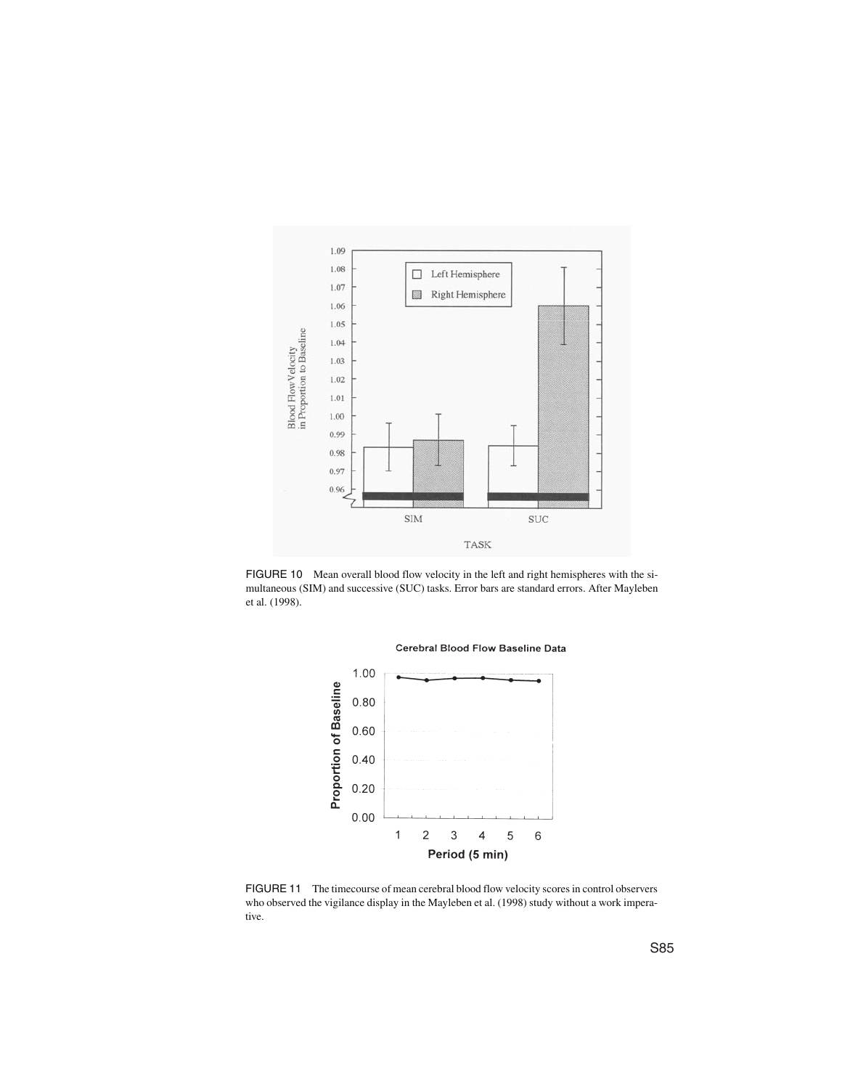

FIGURE 10 Mean overall blood flow velocity in the left and right hemispheres with the simultaneous (SIM) and successive (SUC) tasks. Error bars are standard errors. After Mayleben et al. (1998).



Cerebral Blood Flow Baseline Data

FIGURE 11 The timecourse of mean cerebral blood flow velocity scores in control observers who observed the vigilance display in the Mayleben et al. (1998) study without a work imperative.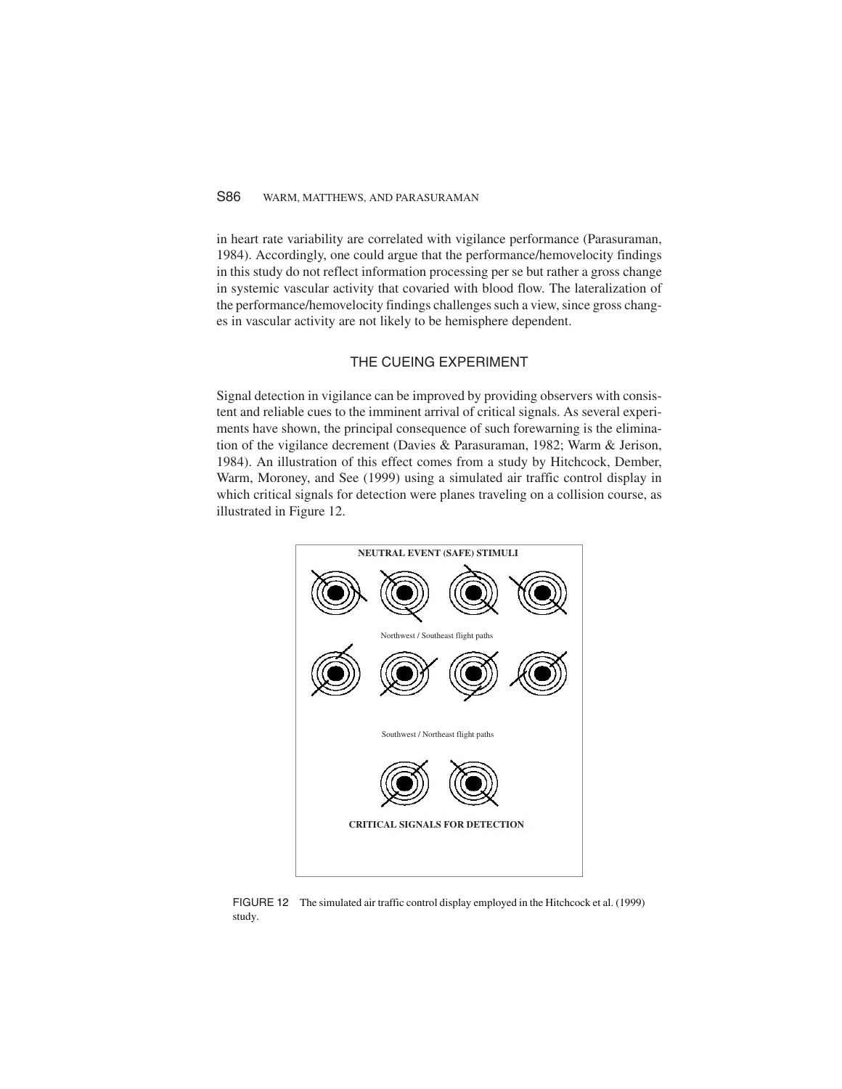### S86 WARM, MATTHEWS, AND PARASURAMAN

in heart rate variability are correlated with vigilance performance (Parasuraman, 1984). Accordingly, one could argue that the performance/hemovelocity findings in this study do not reflect information processing per se but rather a gross change in systemic vascular activity that covaried with blood flow. The lateralization of the performance/hemovelocity findings challenges such a view, since gross changes in vascular activity are not likely to be hemisphere dependent.

#### THE CUEING EXPERIMENT

Signal detection in vigilance can be improved by providing observers with consistent and reliable cues to the imminent arrival of critical signals. As several experiments have shown, the principal consequence of such forewarning is the elimination of the vigilance decrement (Davies & Parasuraman, 1982; Warm & Jerison, 1984). An illustration of this effect comes from a study by Hitchcock, Dember, Warm, Moroney, and See (1999) using a simulated air traffic control display in which critical signals for detection were planes traveling on a collision course, as illustrated in Figure 12.



FIGURE 12 The simulated air traffic control display employed in the Hitchcock et al. (1999) study.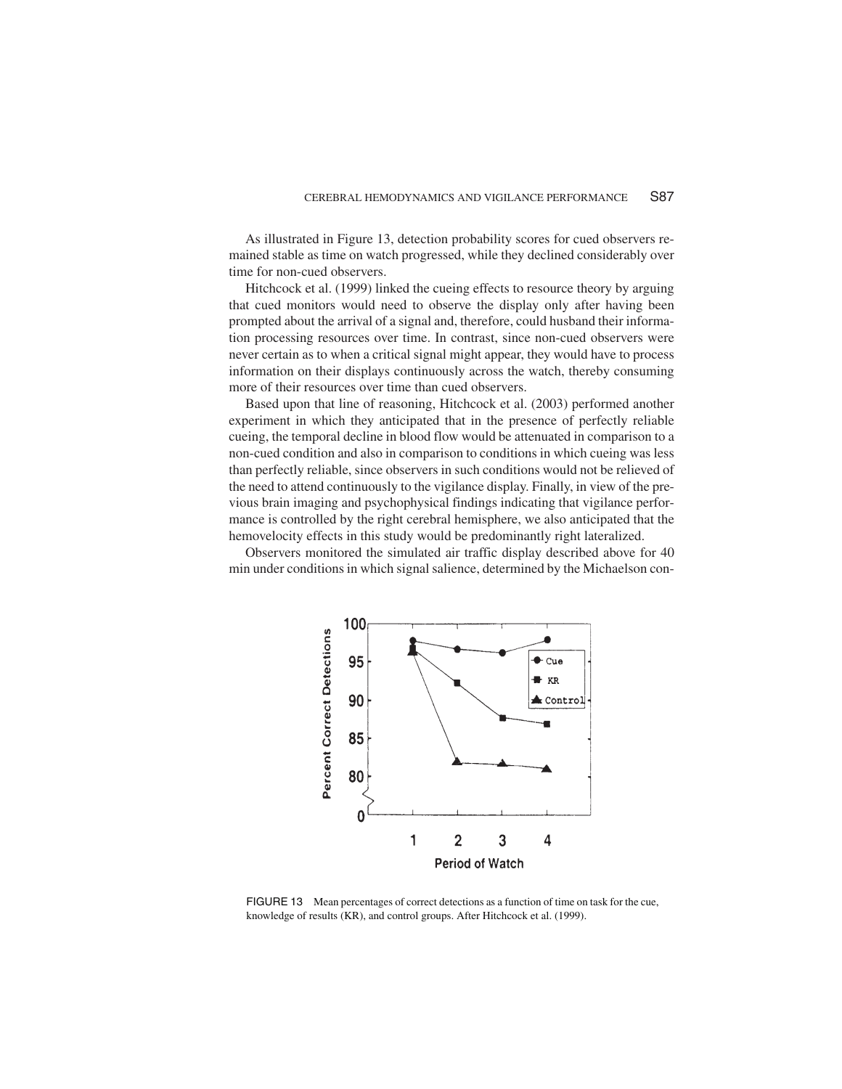As illustrated in Figure 13, detection probability scores for cued observers remained stable as time on watch progressed, while they declined considerably over time for non-cued observers.

Hitchcock et al. (1999) linked the cueing effects to resource theory by arguing that cued monitors would need to observe the display only after having been prompted about the arrival of a signal and, therefore, could husband their information processing resources over time. In contrast, since non-cued observers were never certain as to when a critical signal might appear, they would have to process information on their displays continuously across the watch, thereby consuming more of their resources over time than cued observers.

Based upon that line of reasoning, Hitchcock et al. (2003) performed another experiment in which they anticipated that in the presence of perfectly reliable cueing, the temporal decline in blood flow would be attenuated in comparison to a non-cued condition and also in comparison to conditions in which cueing was less than perfectly reliable, since observers in such conditions would not be relieved of the need to attend continuously to the vigilance display. Finally, in view of the previous brain imaging and psychophysical findings indicating that vigilance performance is controlled by the right cerebral hemisphere, we also anticipated that the hemovelocity effects in this study would be predominantly right lateralized.

Observers monitored the simulated air traffic display described above for 40 min under conditions in which signal salience, determined by the Michaelson con-



FIGURE 13 Mean percentages of correct detections as a function of time on task for the cue, knowledge of results (KR), and control groups. After Hitchcock et al. (1999).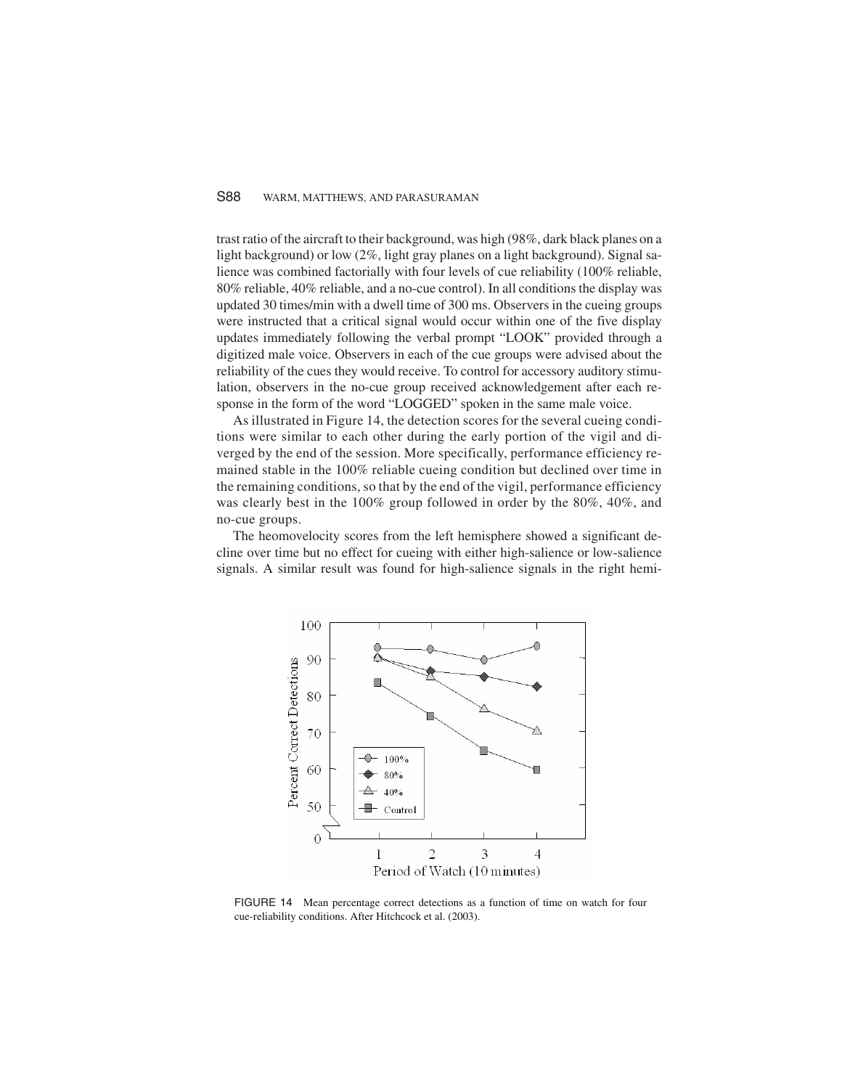#### S88 WARM, MATTHEWS, AND PARASURAMAN

trast ratio of the aircraft to their background, was high (98%, dark black planes on a light background) or low (2%, light gray planes on a light background). Signal salience was combined factorially with four levels of cue reliability (100% reliable, 80% reliable, 40% reliable, and a no-cue control). In all conditions the display was updated 30 times/min with a dwell time of 300 ms. Observers in the cueing groups were instructed that a critical signal would occur within one of the five display updates immediately following the verbal prompt "LOOK" provided through a digitized male voice. Observers in each of the cue groups were advised about the reliability of the cues they would receive. To control for accessory auditory stimulation, observers in the no-cue group received acknowledgement after each response in the form of the word "LOGGED" spoken in the same male voice.

As illustrated in Figure 14, the detection scores for the several cueing conditions were similar to each other during the early portion of the vigil and diverged by the end of the session. More specifically, performance efficiency remained stable in the 100% reliable cueing condition but declined over time in the remaining conditions, so that by the end of the vigil, performance efficiency was clearly best in the 100% group followed in order by the 80%, 40%, and no-cue groups.

The heomovelocity scores from the left hemisphere showed a significant decline over time but no effect for cueing with either high-salience or low-salience signals. A similar result was found for high-salience signals in the right hemi-



FIGURE 14 Mean percentage correct detections as a function of time on watch for four cue-reliability conditions. After Hitchcock et al. (2003).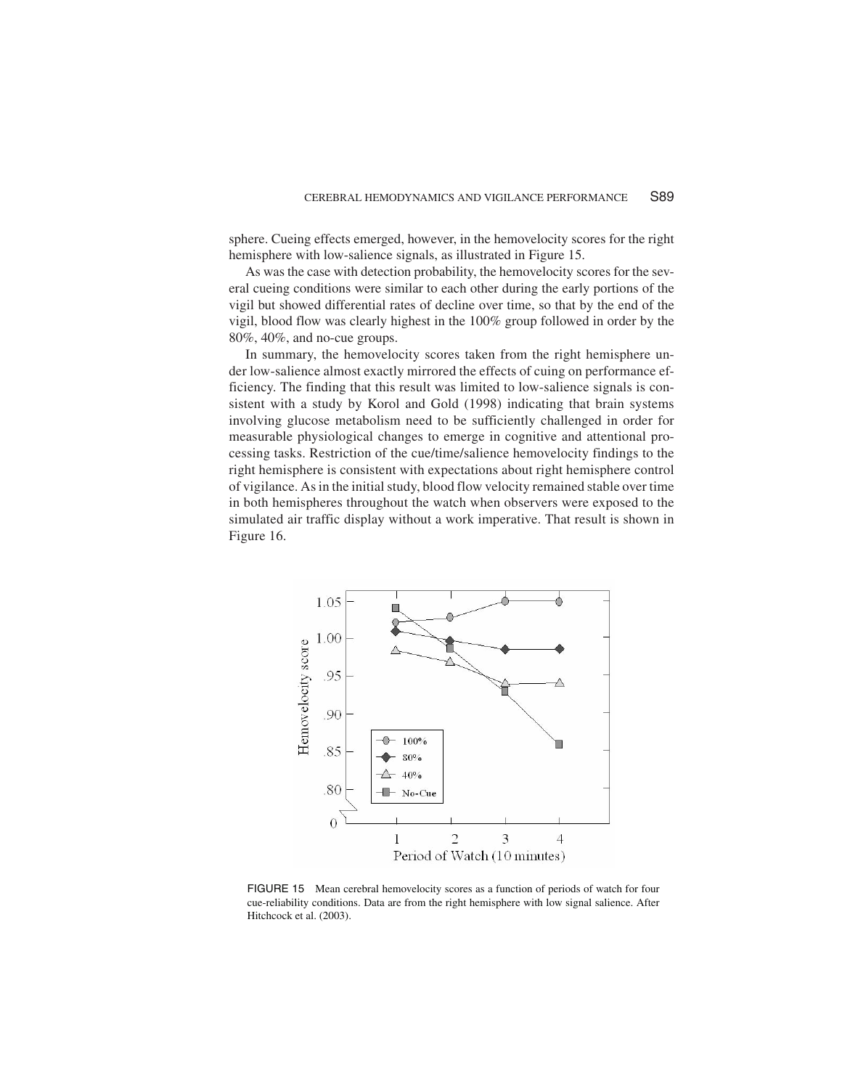sphere. Cueing effects emerged, however, in the hemovelocity scores for the right hemisphere with low-salience signals, as illustrated in Figure 15.

As was the case with detection probability, the hemovelocity scores for the several cueing conditions were similar to each other during the early portions of the vigil but showed differential rates of decline over time, so that by the end of the vigil, blood flow was clearly highest in the 100% group followed in order by the 80%, 40%, and no-cue groups.

In summary, the hemovelocity scores taken from the right hemisphere under low-salience almost exactly mirrored the effects of cuing on performance efficiency. The finding that this result was limited to low-salience signals is consistent with a study by Korol and Gold (1998) indicating that brain systems involving glucose metabolism need to be sufficiently challenged in order for measurable physiological changes to emerge in cognitive and attentional processing tasks. Restriction of the cue/time/salience hemovelocity findings to the right hemisphere is consistent with expectations about right hemisphere control of vigilance. Asin the initialstudy, blood flow velocity remained stable over time in both hemispheres throughout the watch when observers were exposed to the simulated air traffic display without a work imperative. That result is shown in Figure 16.



FIGURE 15 Mean cerebral hemovelocity scores as a function of periods of watch for four cue-reliability conditions. Data are from the right hemisphere with low signal salience. After Hitchcock et al. (2003).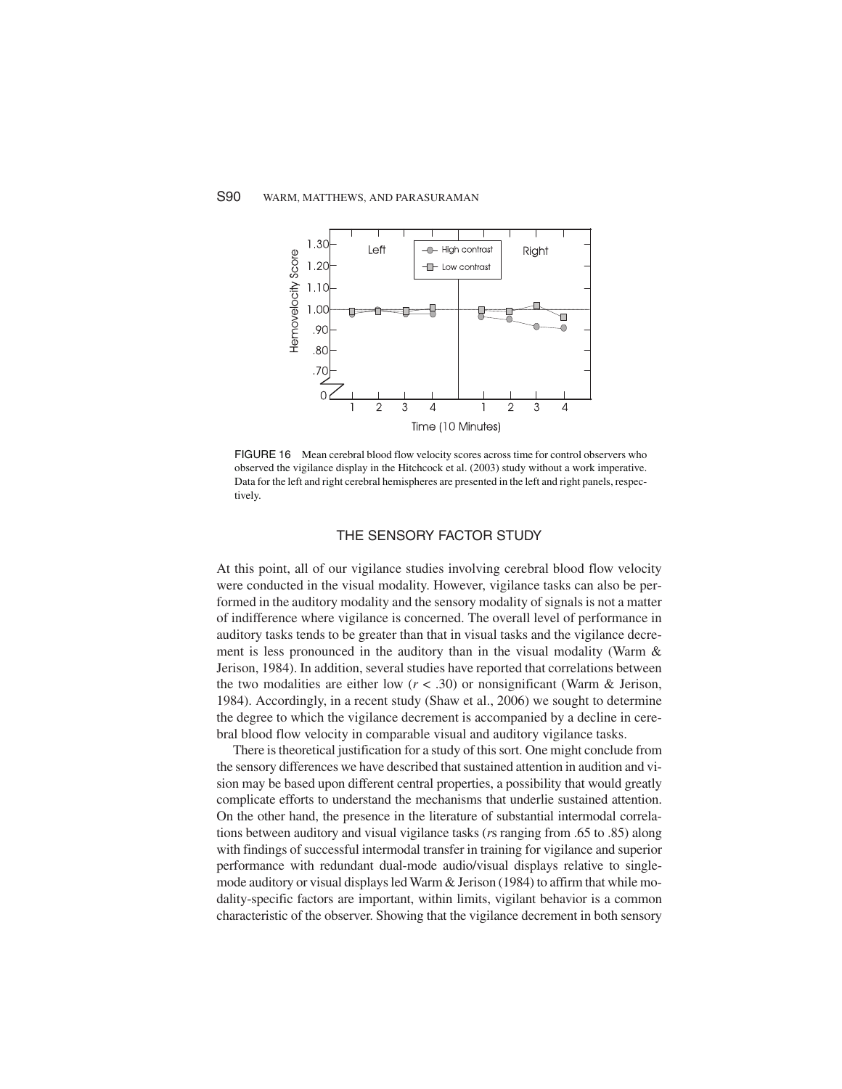

FIGURE 16 Mean cerebral blood flow velocity scores across time for control observers who observed the vigilance display in the Hitchcock et al. (2003) study without a work imperative. Data for the left and right cerebral hemispheres are presented in the left and right panels, respectively.

#### THE SENSORY FACTOR STUDY

At this point, all of our vigilance studies involving cerebral blood flow velocity were conducted in the visual modality. However, vigilance tasks can also be performed in the auditory modality and the sensory modality of signals is not a matter of indifference where vigilance is concerned. The overall level of performance in auditory tasks tends to be greater than that in visual tasks and the vigilance decrement is less pronounced in the auditory than in the visual modality (Warm & Jerison, 1984). In addition, several studies have reported that correlations between the two modalities are either low  $(r < .30)$  or nonsignificant (Warm & Jerison, 1984). Accordingly, in a recent study (Shaw et al., 2006) we sought to determine the degree to which the vigilance decrement is accompanied by a decline in cerebral blood flow velocity in comparable visual and auditory vigilance tasks.

There is theoretical justification for a study of this sort. One might conclude from the sensory differences we have described that sustained attention in audition and vision may be based upon different central properties, a possibility that would greatly complicate efforts to understand the mechanisms that underlie sustained attention. On the other hand, the presence in the literature of substantial intermodal correlations between auditory and visual vigilance tasks (*r*s ranging from .65 to .85) along with findings of successful intermodal transfer in training for vigilance and superior performance with redundant dual-mode audio/visual displays relative to singlemode auditory or visual displays led Warm & Jerison (1984) to affirm that while modality-specific factors are important, within limits, vigilant behavior is a common characteristic of the observer. Showing that the vigilance decrement in both sensory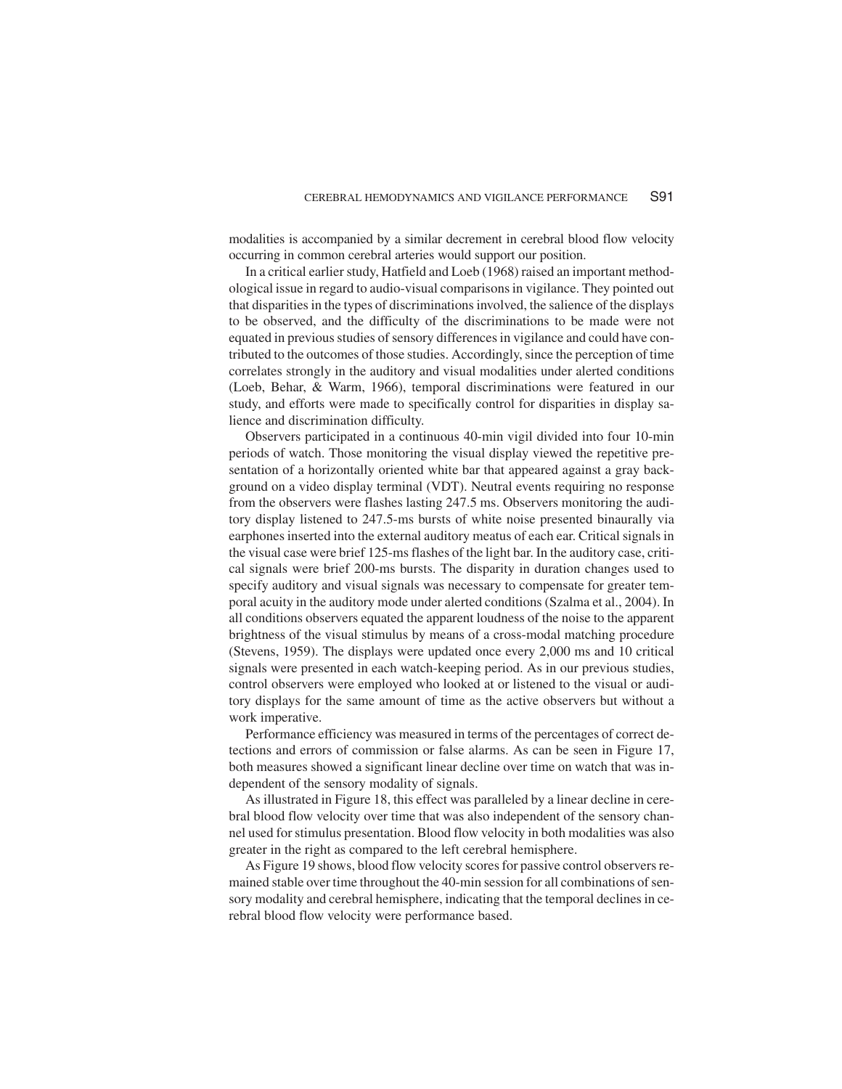modalities is accompanied by a similar decrement in cerebral blood flow velocity occurring in common cerebral arteries would support our position.

In a critical earlier study, Hatfield and Loeb (1968) raised an important methodological issue in regard to audio-visual comparisons in vigilance. They pointed out that disparitiesin the types of discriminationsinvolved, the salience of the displays to be observed, and the difficulty of the discriminations to be made were not equated in previous studies of sensory differences in vigilance and could have contributed to the outcomes of those studies. Accordingly,since the perception of time correlates strongly in the auditory and visual modalities under alerted conditions (Loeb, Behar, & Warm, 1966), temporal discriminations were featured in our study, and efforts were made to specifically control for disparities in display salience and discrimination difficulty.

Observers participated in a continuous 40-min vigil divided into four 10-min periods of watch. Those monitoring the visual display viewed the repetitive presentation of a horizontally oriented white bar that appeared against a gray background on a video display terminal (VDT). Neutral events requiring no response from the observers were flashes lasting 247.5 ms. Observers monitoring the auditory display listened to 247.5-ms bursts of white noise presented binaurally via earphones inserted into the external auditory meatus of each ear. Critical signals in the visual case were brief 125-msflashes of the light bar. In the auditory case, critical signals were brief 200-ms bursts. The disparity in duration changes used to specify auditory and visual signals was necessary to compensate for greater temporal acuity in the auditory mode under alerted conditions (Szalma et al., 2004). In all conditions observers equated the apparent loudness of the noise to the apparent brightness of the visual stimulus by means of a cross-modal matching procedure (Stevens, 1959). The displays were updated once every 2,000 ms and 10 critical signals were presented in each watch-keeping period. As in our previous studies, control observers were employed who looked at or listened to the visual or auditory displays for the same amount of time as the active observers but without a work imperative.

Performance efficiency was measured in terms of the percentages of correct detections and errors of commission or false alarms. As can be seen in Figure 17, both measures showed a significant linear decline over time on watch that was independent of the sensory modality of signals.

As illustrated in Figure 18, this effect was paralleled by a linear decline in cerebral blood flow velocity over time that was also independent of the sensory channel used forstimulus presentation. Blood flow velocity in both modalities was also greater in the right as compared to the left cerebral hemisphere.

As Figure 19 shows, blood flow velocity scores for passive control observers remained stable over time throughout the 40-min session for all combinations of sensory modality and cerebral hemisphere, indicating that the temporal declines in cerebral blood flow velocity were performance based.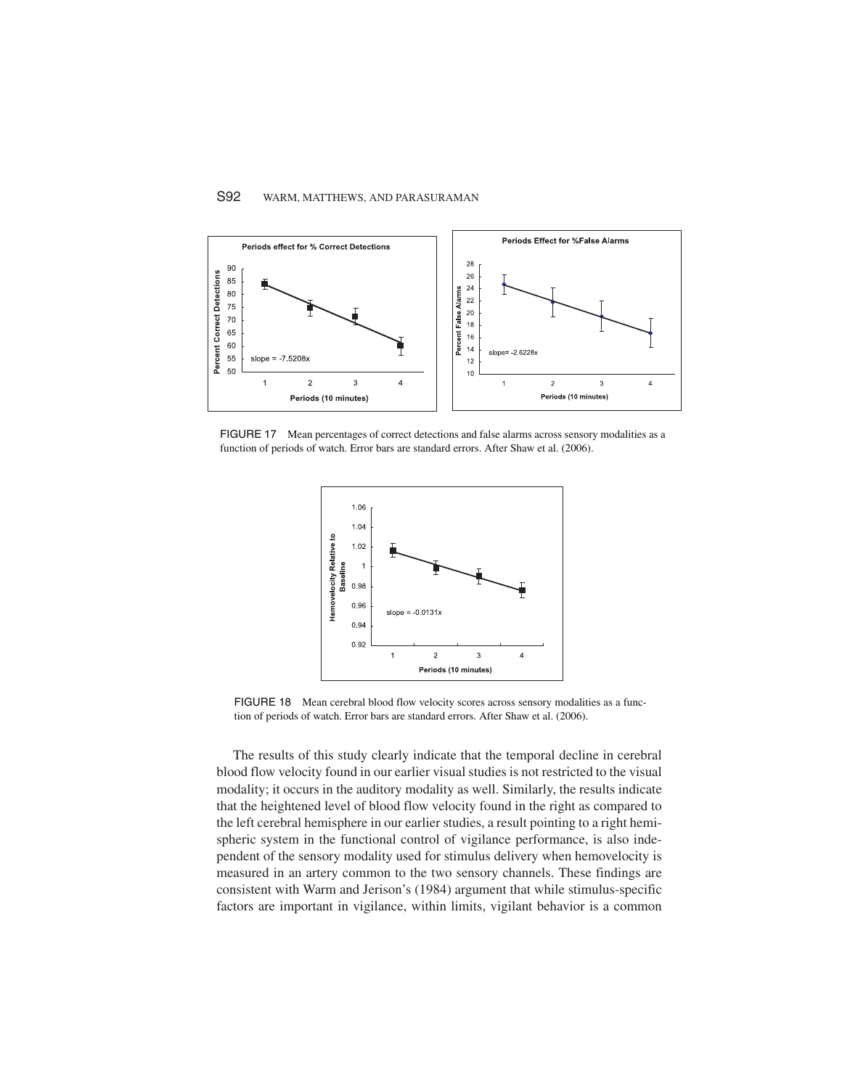#### S92 WARM, MATTHEWS, AND PARASURAMAN



FIGURE 17 Mean percentages of correct detections and false alarms across sensory modalities as a function of periods of watch. Error bars are standard errors. After Shaw et al. (2006).



FIGURE 18 Mean cerebral blood flow velocity scores across sensory modalities as a function of periods of watch. Error bars are standard errors. After Shaw et al. (2006).

The results of this study clearly indicate that the temporal decline in cerebral blood flow velocity found in our earlier visual studies is not restricted to the visual modality; it occurs in the auditory modality as well. Similarly, the results indicate that the heightened level of blood flow velocity found in the right as compared to the left cerebral hemisphere in our earlier studies, a result pointing to a right hemispheric system in the functional control of vigilance performance, is also independent of the sensory modality used for stimulus delivery when hemovelocity is measured in an artery common to the two sensory channels. These findings are consistent with Warm and Jerison's (1984) argument that while stimulus-specific factors are important in vigilance, within limits, vigilant behavior is a common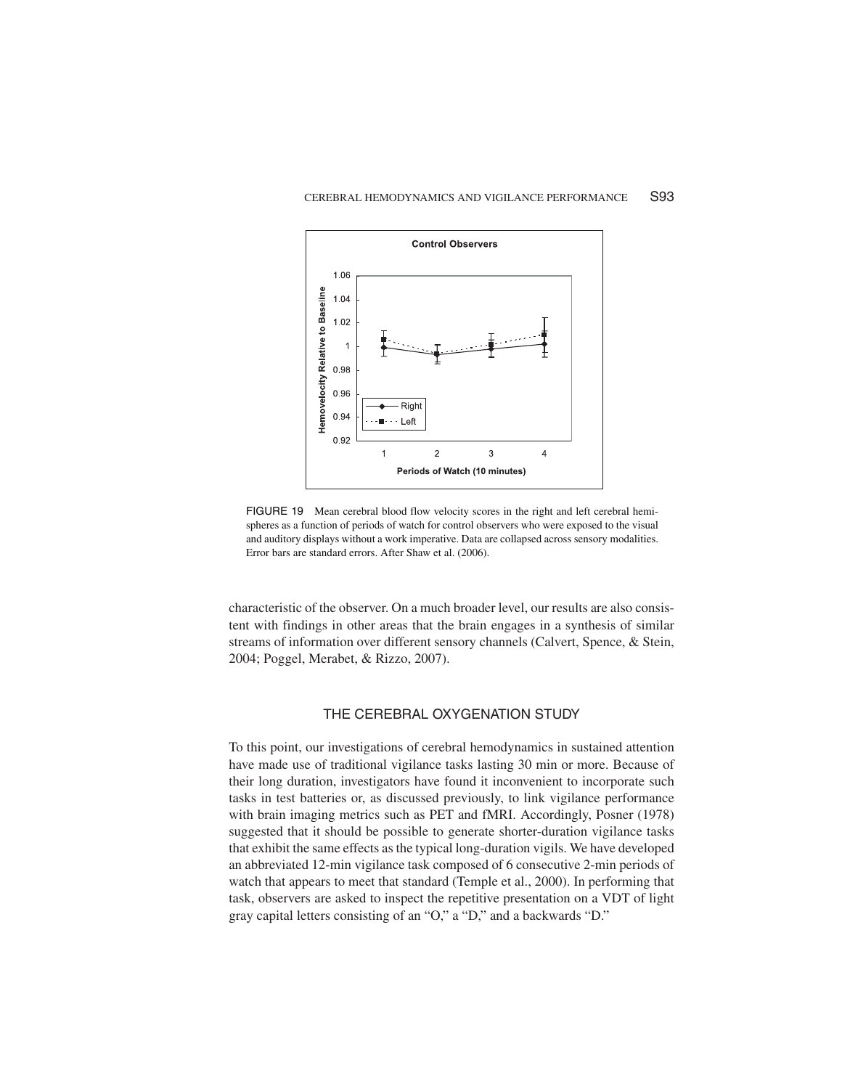#### CEREBRAL HEMODYNAMICS AND VIGILANCE PERFORMANCE S93



FIGURE 19 Mean cerebral blood flow velocity scores in the right and left cerebral hemispheres as a function of periods of watch for control observers who were exposed to the visual and auditory displays without a work imperative. Data are collapsed across sensory modalities. Error bars are standard errors. After Shaw et al. (2006).

characteristic of the observer. On a much broader level, our results are also consistent with findings in other areas that the brain engages in a synthesis of similar streams of information over different sensory channels (Calvert, Spence, & Stein, 2004; Poggel, Merabet, & Rizzo, 2007).

#### THE CEREBRAL OXYGENATION STUDY

To this point, our investigations of cerebral hemodynamics in sustained attention have made use of traditional vigilance tasks lasting 30 min or more. Because of their long duration, investigators have found it inconvenient to incorporate such tasks in test batteries or, as discussed previously, to link vigilance performance with brain imaging metrics such as PET and fMRI. Accordingly, Posner (1978) suggested that it should be possible to generate shorter-duration vigilance tasks that exhibit the same effects asthe typical long-duration vigils. We have developed an abbreviated 12-min vigilance task composed of 6 consecutive 2-min periods of watch that appears to meet that standard (Temple et al., 2000). In performing that task, observers are asked to inspect the repetitive presentation on a VDT of light gray capital letters consisting of an "O," a "D," and a backwards "D."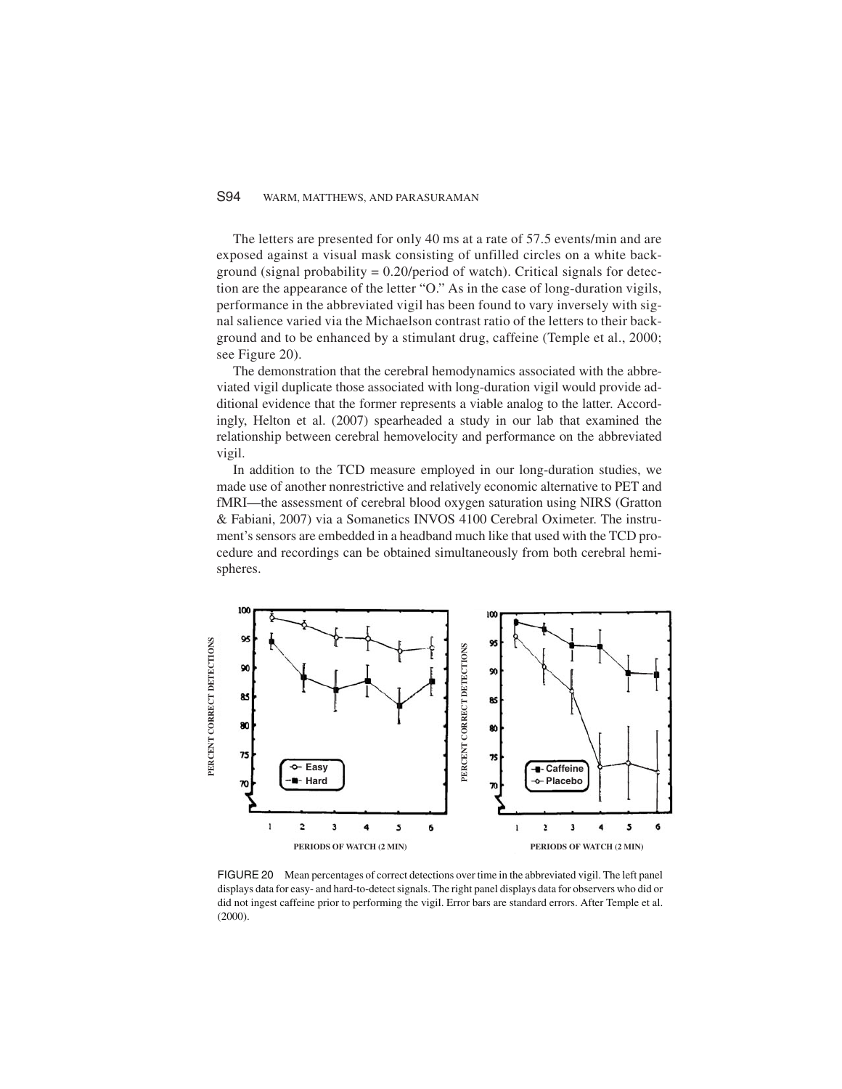#### S94 WARM, MATTHEWS, AND PARASURAMAN

The letters are presented for only 40 ms at a rate of 57.5 events/min and are exposed against a visual mask consisting of unfilled circles on a white background (signal probability  $= 0.20$ /period of watch). Critical signals for detection are the appearance of the letter "O." As in the case of long-duration vigils, performance in the abbreviated vigil has been found to vary inversely with signal salience varied via the Michaelson contrast ratio of the letters to their background and to be enhanced by a stimulant drug, caffeine (Temple et al., 2000; see Figure 20).

The demonstration that the cerebral hemodynamics associated with the abbreviated vigil duplicate those associated with long-duration vigil would provide additional evidence that the former represents a viable analog to the latter. Accordingly, Helton et al. (2007) spearheaded a study in our lab that examined the relationship between cerebral hemovelocity and performance on the abbreviated vigil.

In addition to the TCD measure employed in our long-duration studies, we made use of another nonrestrictive and relatively economic alternative to PET and fMRI—the assessment of cerebral blood oxygen saturation using NIRS (Gratton & Fabiani, 2007) via a Somanetics INVOS 4100 Cerebral Oximeter. The instrument's sensors are embedded in a headband much like that used with the TCD procedure and recordings can be obtained simultaneously from both cerebral hemispheres.



FIGURE 20 Mean percentages of correct detections over time in the abbreviated vigil. The left panel displays data for easy- and hard-to-detect signals. The right panel displays data for observers who did or did not ingest caffeine prior to performing the vigil. Error bars are standard errors. After Temple et al. (2000).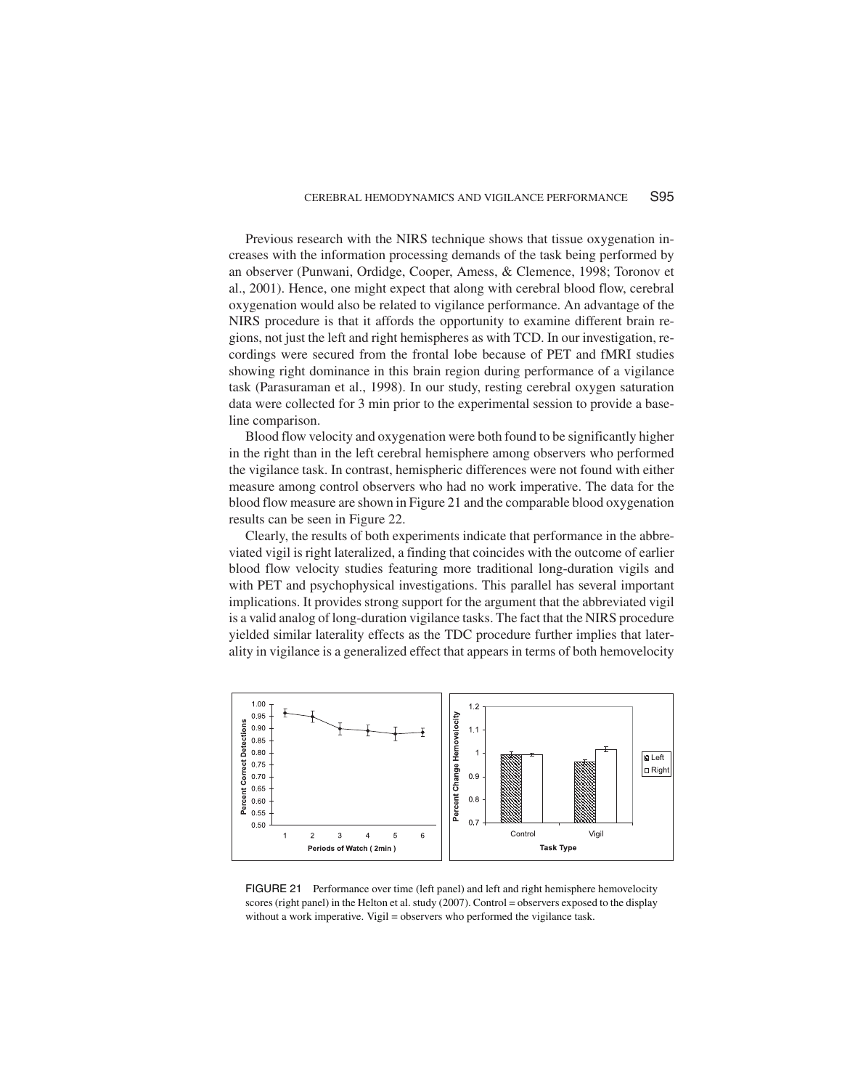Previous research with the NIRS technique shows that tissue oxygenation increases with the information processing demands of the task being performed by an observer (Punwani, Ordidge, Cooper, Amess, & Clemence, 1998; Toronov et al., 2001). Hence, one might expect that along with cerebral blood flow, cerebral oxygenation would also be related to vigilance performance. An advantage of the NIRS procedure is that it affords the opportunity to examine different brain regions, not just the left and right hemispheres as with TCD. In our investigation, recordings were secured from the frontal lobe because of PET and fMRI studies showing right dominance in this brain region during performance of a vigilance task (Parasuraman et al., 1998). In our study, resting cerebral oxygen saturation data were collected for 3 min prior to the experimental session to provide a baseline comparison.

Blood flow velocity and oxygenation were both found to be significantly higher in the right than in the left cerebral hemisphere among observers who performed the vigilance task. In contrast, hemispheric differences were not found with either measure among control observers who had no work imperative. The data for the blood flow measure are shown in Figure 21 and the comparable blood oxygenation results can be seen in Figure 22.

Clearly, the results of both experiments indicate that performance in the abbreviated vigil is right lateralized, a finding that coincides with the outcome of earlier blood flow velocity studies featuring more traditional long-duration vigils and with PET and psychophysical investigations. This parallel has several important implications. It provides strong support for the argument that the abbreviated vigil is a valid analog of long-duration vigilance tasks. The fact that the NIRS procedure yielded similar laterality effects as the TDC procedure further implies that laterality in vigilance is a generalized effect that appears in terms of both hemovelocity



FIGURE 21 Performance over time (left panel) and left and right hemisphere hemovelocity scores (right panel) in the Helton et al. study (2007). Control = observers exposed to the display without a work imperative. Vigil = observers who performed the vigilance task.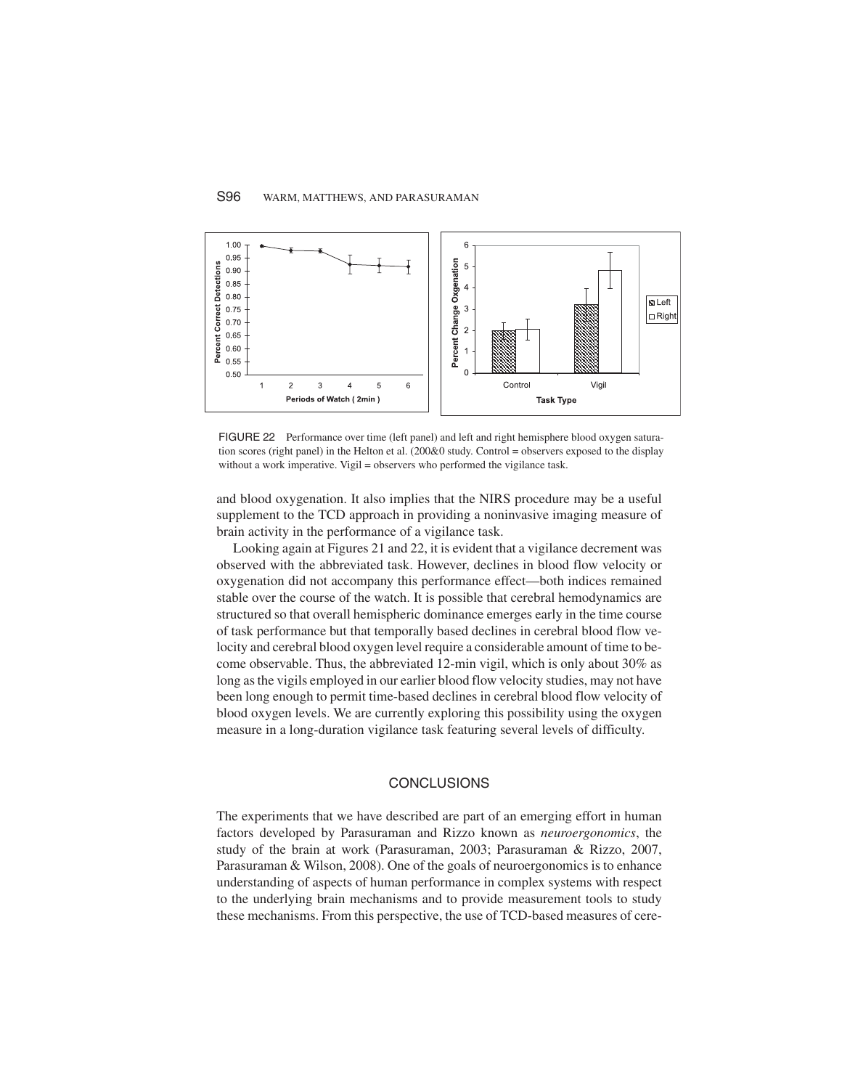#### S96 WARM, MATTHEWS, AND PARASURAMAN



FIGURE 22 Performance over time (left panel) and left and right hemisphere blood oxygen saturation scores (right panel) in the Helton et al. (200&0 study. Control = observers exposed to the display without a work imperative. Vigil = observers who performed the vigilance task.

and blood oxygenation. It also implies that the NIRS procedure may be a useful supplement to the TCD approach in providing a noninvasive imaging measure of brain activity in the performance of a vigilance task.

Looking again at Figures 21 and 22, it is evident that a vigilance decrement was observed with the abbreviated task. However, declines in blood flow velocity or oxygenation did not accompany this performance effect—both indices remained stable over the course of the watch. It is possible that cerebral hemodynamics are structured so that overall hemispheric dominance emerges early in the time course of task performance but that temporally based declines in cerebral blood flow velocity and cerebral blood oxygen level require a considerable amount of time to become observable. Thus, the abbreviated 12-min vigil, which is only about 30% as long asthe vigils employed in our earlier blood flow velocity studies, may not have been long enough to permit time-based declines in cerebral blood flow velocity of blood oxygen levels. We are currently exploring this possibility using the oxygen measure in a long-duration vigilance task featuring several levels of difficulty.

#### **CONCLUSIONS**

The experiments that we have described are part of an emerging effort in human factors developed by Parasuraman and Rizzo known as *neuroergonomics*, the study of the brain at work (Parasuraman, 2003; Parasuraman & Rizzo, 2007, Parasuraman & Wilson, 2008). One of the goals of neuroergonomics is to enhance understanding of aspects of human performance in complex systems with respect to the underlying brain mechanisms and to provide measurement tools to study these mechanisms. From this perspective, the use of TCD-based measures of cere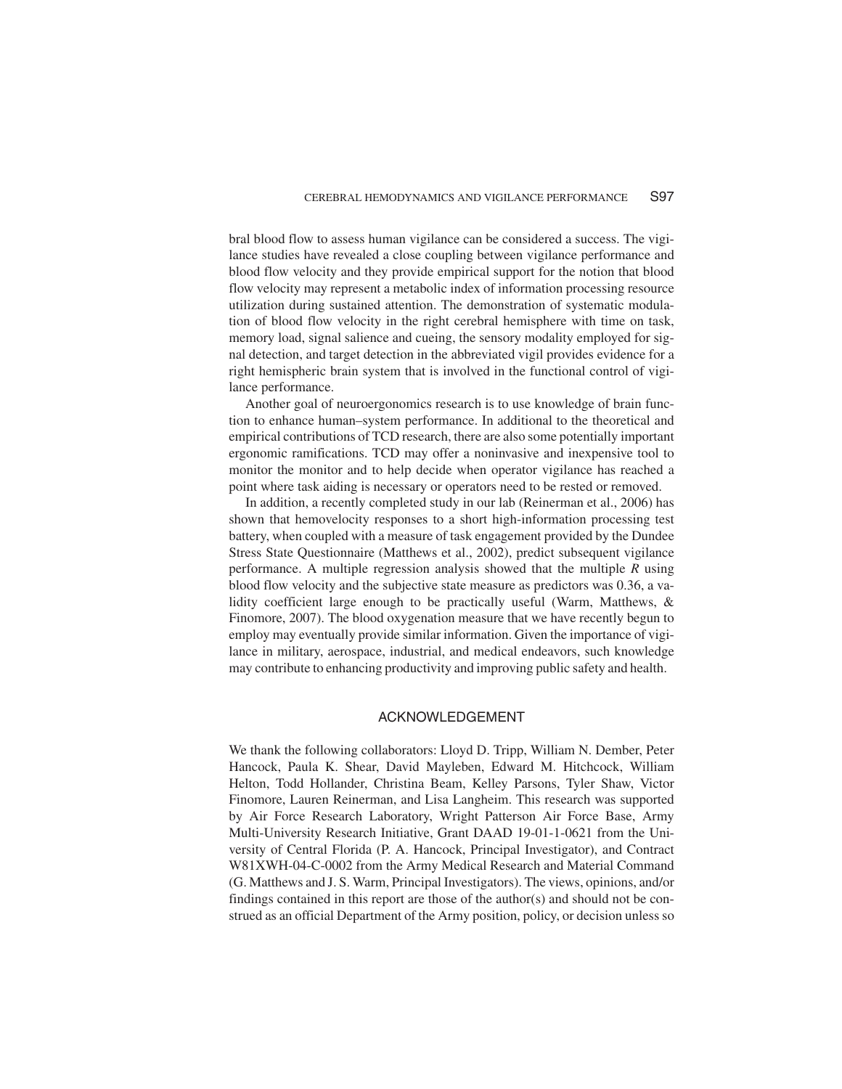bral blood flow to assess human vigilance can be considered a success. The vigilance studies have revealed a close coupling between vigilance performance and blood flow velocity and they provide empirical support for the notion that blood flow velocity may represent a metabolic index of information processing resource utilization during sustained attention. The demonstration of systematic modulation of blood flow velocity in the right cerebral hemisphere with time on task, memory load, signal salience and cueing, the sensory modality employed for signal detection, and target detection in the abbreviated vigil provides evidence for a right hemispheric brain system that is involved in the functional control of vigilance performance.

Another goal of neuroergonomics research is to use knowledge of brain function to enhance human–system performance. In additional to the theoretical and empirical contributions of TCD research, there are also some potentially important ergonomic ramifications. TCD may offer a noninvasive and inexpensive tool to monitor the monitor and to help decide when operator vigilance has reached a point where task aiding is necessary or operators need to be rested or removed.

In addition, a recently completed study in our lab (Reinerman et al., 2006) has shown that hemovelocity responses to a short high-information processing test battery, when coupled with a measure of task engagement provided by the Dundee Stress State Questionnaire (Matthews et al., 2002), predict subsequent vigilance performance. A multiple regression analysis showed that the multiple *R* using blood flow velocity and the subjective state measure as predictors was 0.36, a validity coefficient large enough to be practically useful (Warm, Matthews, & Finomore, 2007). The blood oxygenation measure that we have recently begun to employ may eventually provide similar information. Given the importance of vigilance in military, aerospace, industrial, and medical endeavors, such knowledge may contribute to enhancing productivity and improving public safety and health.

#### ACKNOWLEDGEMENT

We thank the following collaborators: Lloyd D. Tripp, William N. Dember, Peter Hancock, Paula K. Shear, David Mayleben, Edward M. Hitchcock, William Helton, Todd Hollander, Christina Beam, Kelley Parsons, Tyler Shaw, Victor Finomore, Lauren Reinerman, and Lisa Langheim. This research was supported by Air Force Research Laboratory, Wright Patterson Air Force Base, Army Multi-University Research Initiative, Grant DAAD 19-01-1-0621 from the University of Central Florida (P. A. Hancock, Principal Investigator), and Contract W81XWH-04-C-0002 from the Army Medical Research and Material Command (G. Matthews and J. S. Warm, Principal Investigators). The views, opinions, and/or findings contained in this report are those of the author(s) and should not be construed as an official Department of the Army position, policy, or decision unless so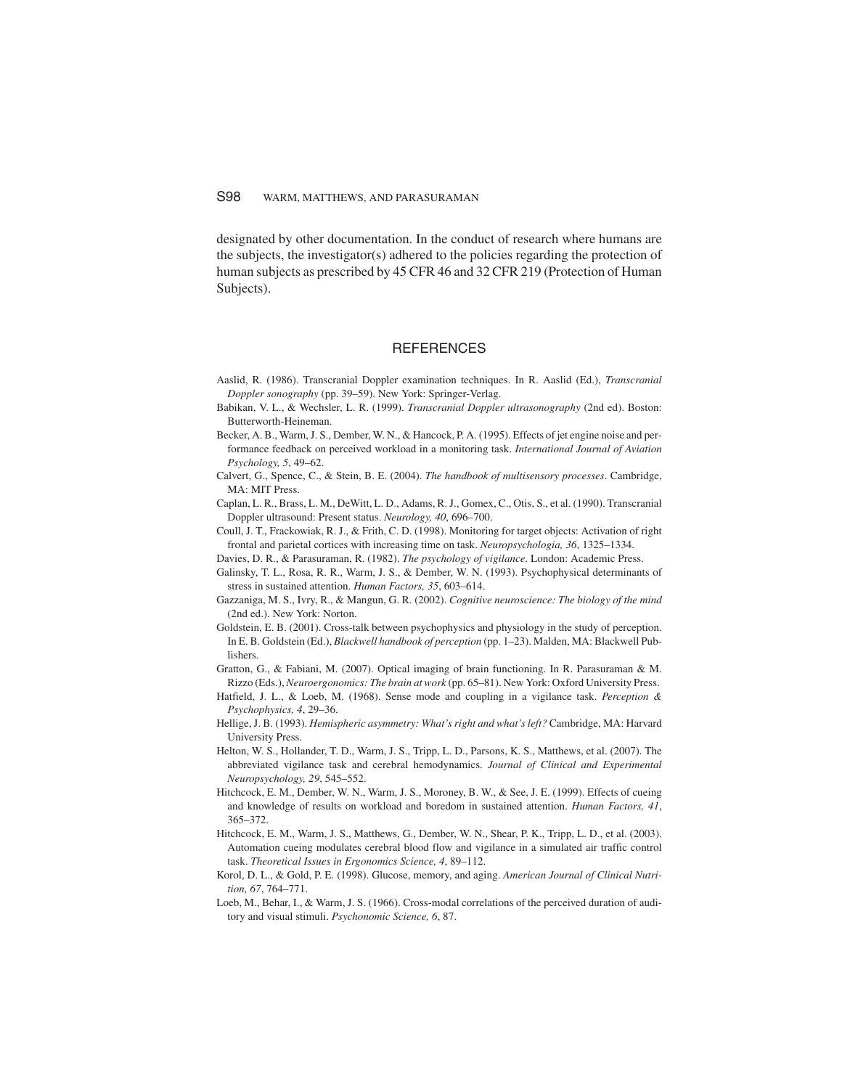#### S98 WARM, MATTHEWS, AND PARASURAMAN

designated by other documentation. In the conduct of research where humans are the subjects, the investigator(s) adhered to the policies regarding the protection of human subjects as prescribed by 45 CFR 46 and 32 CFR 219 (Protection of Human Subjects).

#### REFERENCES

- Aaslid, R. (1986). Transcranial Doppler examination techniques. In R. Aaslid (Ed.), *Transcranial Doppler sonography* (pp. 39–59). New York: Springer-Verlag.
- Babikan, V. L., & Wechsler, L. R. (1999). *Transcranial Doppler ultrasonography* (2nd ed). Boston: Butterworth-Heineman.
- Becker, A. B., Warm,J. S., Dember, W. N., & Hancock, P. A. (1995). Effects of jet engine noise and performance feedback on perceived workload in a monitoring task. *International Journal of Aviation Psychology, 5*, 49–62.
- Calvert, G., Spence, C., & Stein, B. E. (2004). *The handbook of multisensory processes*. Cambridge, MA: MIT Press.
- Caplan, L. R., Brass, L. M., DeWitt, L. D., Adams, R.J., Gomex, C., Otis, S., et al. (1990). Transcranial Doppler ultrasound: Present status. *Neurology, 40*, 696–700.
- Coull, J. T., Frackowiak, R. J., & Frith, C. D. (1998). Monitoring for target objects: Activation of right frontal and parietal cortices with increasing time on task. *Neuropsychologia, 36*, 1325–1334.
- Davies, D. R., & Parasuraman, R. (1982). *The psychology of vigilance*. London: Academic Press.
- Galinsky, T. L., Rosa, R. R., Warm, J. S., & Dember, W. N. (1993). Psychophysical determinants of stress in sustained attention. *Human Factors, 35*, 603–614.
- Gazzaniga, M. S., Ivry, R., & Mangun, G. R. (2002). *Cognitive neuroscience: The biology of the mind* (2nd ed.). New York: Norton.
- Goldstein, E. B. (2001). Cross-talk between psychophysics and physiology in the study of perception. In E. B. Goldstein (Ed.), *Blackwell handbook of perception* (pp. 1–23). Malden, MA: Blackwell Publishers.
- Gratton, G., & Fabiani, M. (2007). Optical imaging of brain functioning. In R. Parasuraman & M. Rizzo (Eds.), *Neuroergonomics: The brain at work* (pp. 65–81). New York: Oxford University Press.
- Hatfield, J. L., & Loeb, M. (1968). Sense mode and coupling in a vigilance task. *Perception & Psychophysics, 4*, 29–36.
- Hellige, J. B. (1993). *Hemispheric asymmetry: What's right and what's left?* Cambridge, MA: Harvard University Press.
- Helton, W. S., Hollander, T. D., Warm, J. S., Tripp, L. D., Parsons, K. S., Matthews, et al. (2007). The abbreviated vigilance task and cerebral hemodynamics. *Journal of Clinical and Experimental Neuropsychology, 29*, 545–552.
- Hitchcock, E. M., Dember, W. N., Warm, J. S., Moroney, B. W., & See, J. E. (1999). Effects of cueing and knowledge of results on workload and boredom in sustained attention. *Human Factors, 41*, 365–372.
- Hitchcock, E. M., Warm, J. S., Matthews, G., Dember, W. N., Shear, P. K., Tripp, L. D., et al. (2003). Automation cueing modulates cerebral blood flow and vigilance in a simulated air traffic control task. *Theoretical Issues in Ergonomics Science, 4*, 89–112.
- Korol, D. L., & Gold, P. E. (1998). Glucose, memory, and aging. *American Journal of Clinical Nutrition, 67*, 764–771.
- Loeb, M., Behar, I., & Warm, J. S. (1966). Cross-modal correlations of the perceived duration of auditory and visual stimuli. *Psychonomic Science, 6*, 87.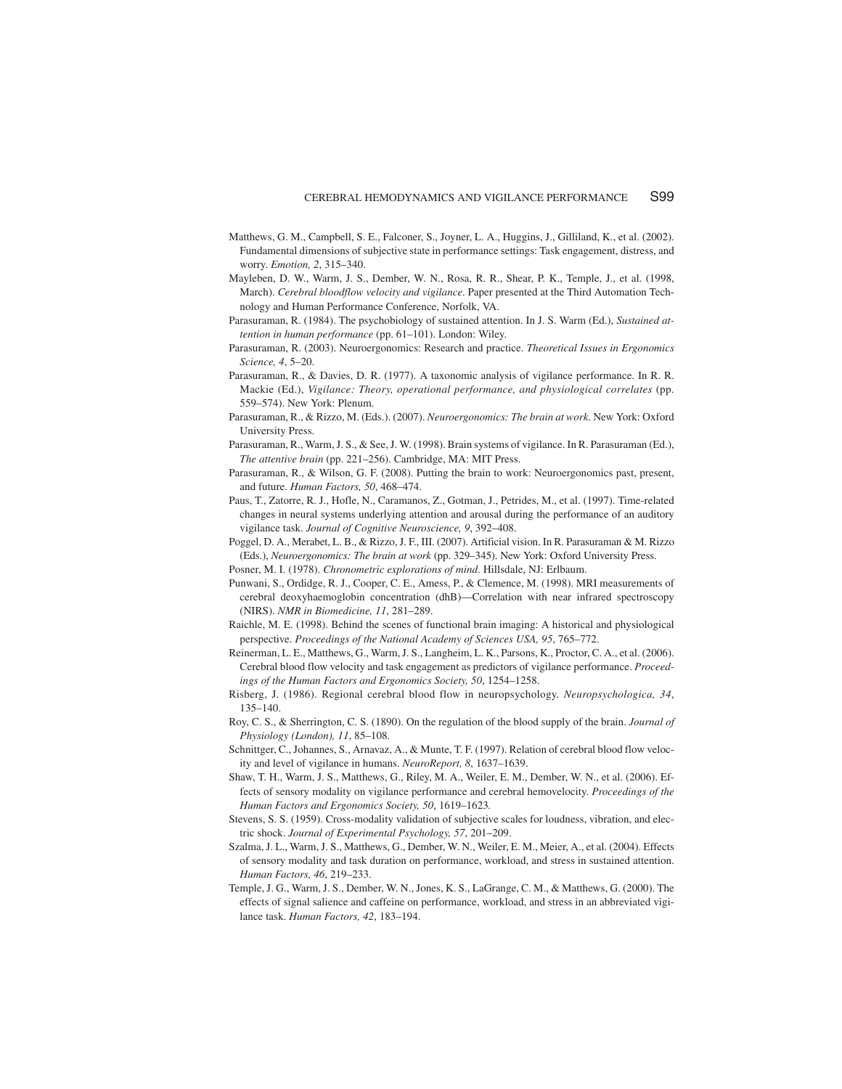- Matthews, G. M., Campbell, S. E., Falconer, S., Joyner, L. A., Huggins, J., Gilliland, K., et al. (2002). Fundamental dimensions of subjective state in performance settings: Task engagement, distress, and worry. *Emotion, 2*, 315–340.
- Mayleben, D. W., Warm, J. S., Dember, W. N., Rosa, R. R., Shear, P. K., Temple, J., et al. (1998, March). *Cerebral bloodflow velocity and vigilance*. Paper presented at the Third Automation Technology and Human Performance Conference, Norfolk, VA.
- Parasuraman, R. (1984). The psychobiology of sustained attention. In J. S. Warm (Ed.), *Sustained attention in human performance* (pp. 61–101). London: Wiley.
- Parasuraman, R. (2003). Neuroergonomics: Research and practice. *Theoretical Issues in Ergonomics Science, 4*, 5–20.
- Parasuraman, R., & Davies, D. R. (1977). A taxonomic analysis of vigilance performance. In R. R. Mackie (Ed.), *Vigilance: Theory, operational performance, and physiological correlates* (pp. 559–574). New York: Plenum.
- Parasuraman, R., & Rizzo, M. (Eds.). (2007). *Neuroergonomics: The brain at work*. New York: Oxford University Press.
- Parasuraman, R., Warm,J. S., & See,J. W. (1998). Brain systems of vigilance. In R. Parasuraman (Ed.), *The attentive brain* (pp. 221–256). Cambridge, MA: MIT Press.
- Parasuraman, R., & Wilson, G. F. (2008). Putting the brain to work: Neuroergonomics past, present, and future. *Human Factors, 50*, 468–474.
- Paus, T., Zatorre, R. J., Hofle, N., Caramanos, Z., Gotman, J., Petrides, M., et al. (1997). Time-related changes in neural systems underlying attention and arousal during the performance of an auditory vigilance task. *Journal of Cognitive Neuroscience, 9*, 392–408.
- Poggel, D. A., Merabet, L. B., & Rizzo, J. F., III. (2007). Artificial vision. In R. Parasuraman & M. Rizzo (Eds.), *Neuroergonomics: The brain at work* (pp. 329–345). New York: Oxford University Press.
- Posner, M. I. (1978). *Chronometric explorations of mind*. Hillsdale, NJ: Erlbaum.
- Punwani, S., Ordidge, R. J., Cooper, C. E., Amess, P., & Clemence, M. (1998). MRI measurements of cerebral deoxyhaemoglobin concentration (dhB)—Correlation with near infrared spectroscopy (NIRS). *NMR in Biomedicine, 11*, 281–289.
- Raichle, M. E. (1998). Behind the scenes of functional brain imaging: A historical and physiological perspective. *Proceedings of the National Academy of Sciences USA, 95*, 765–772.
- Reinerman, L. E., Matthews, G., Warm,J. S., Langheim, L. K., Parsons, K., Proctor, C. A., et al. (2006). Cerebral blood flow velocity and task engagement as predictors of vigilance performance. *Proceedings of the Human Factors and Ergonomics Society, 50*, 1254–1258.
- Risberg, J. (1986). Regional cerebral blood flow in neuropsychology. *Neuropsychologica, 34*, 135–140.
- Roy, C. S., & Sherrington, C. S. (1890). On the regulation of the blood supply of the brain. *Journal of Physiology (London), 11*, 85–108.
- Schnittger, C., Johannes, S., Arnavaz, A., & Munte, T. F. (1997). Relation of cerebral blood flow velocity and level of vigilance in humans. *NeuroReport, 8*, 1637–1639.
- Shaw, T. H., Warm, J. S., Matthews, G., Riley, M. A., Weiler, E. M., Dember, W. N., et al. (2006). Effects of sensory modality on vigilance performance and cerebral hemovelocity. *Proceedings of the Human Factors and Ergonomics Society, 50*, 1619–1623*.*
- Stevens, S. S. (1959). Cross-modality validation of subjective scales for loudness, vibration, and electric shock. *Journal of Experimental Psychology, 57*, 201–209.
- Szalma, J. L., Warm, J. S., Matthews, G., Dember, W. N., Weiler, E. M., Meier, A., et al. (2004). Effects of sensory modality and task duration on performance, workload, and stress in sustained attention. *Human Factors, 46*, 219–233.
- Temple, J. G., Warm, J. S., Dember, W. N., Jones, K. S., LaGrange, C. M., & Matthews, G. (2000). The effects of signal salience and caffeine on performance, workload, and stress in an abbreviated vigilance task. *Human Factors, 42*, 183–194.